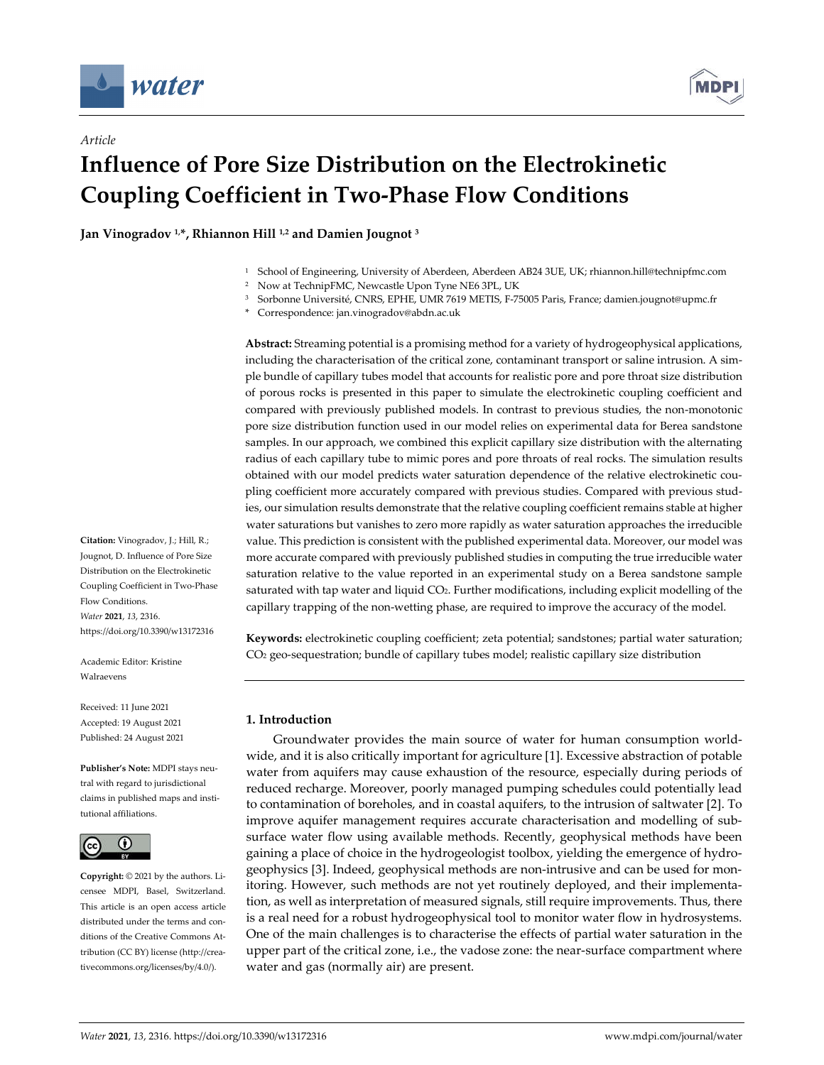

*Article*



# **Influence of Pore Size Distribution on the Electrokinetic Coupling Coefficient in Two-Phase Flow Conditions**

**Jan Vinogradov 1, \*, Rhiannon Hill 1,2 and Damien Jougnot <sup>3</sup>**

- <sup>1</sup> School of Engineering, University of Aberdeen, Aberdeen AB24 3UE, UK; rhiannon.hill@technipfmc.com
- <sup>2</sup> Now at TechnipFMC, Newcastle Upon Tyne NE6 3PL, UK
- <sup>3</sup> Sorbonne Université, CNRS, EPHE, UMR 7619 METIS, F-75005 Paris, France; damien.jougnot@upmc.fr
- \* Correspondence: jan.vinogradov@abdn.ac.uk

**Abstract:** Streaming potential is a promising method for a variety of hydrogeophysical applications, including the characterisation of the critical zone, contaminant transport or saline intrusion. A simple bundle of capillary tubes model that accounts for realistic pore and pore throat size distribution of porous rocks is presented in this paper to simulate the electrokinetic coupling coefficient and compared with previously published models. In contrast to previous studies, the non-monotonic pore size distribution function used in our model relies on experimental data for Berea sandstone samples. In our approach, we combined this explicit capillary size distribution with the alternating radius of each capillary tube to mimic pores and pore throats of real rocks. The simulation results obtained with our model predicts water saturation dependence of the relative electrokinetic coupling coefficient more accurately compared with previous studies. Compared with previous studies, our simulation results demonstrate that the relative coupling coefficient remains stable at higher water saturations but vanishes to zero more rapidly as water saturation approaches the irreducible value. This prediction is consistent with the published experimental data. Moreover, our model was more accurate compared with previously published studies in computing the true irreducible water saturation relative to the value reported in an experimental study on a Berea sandstone sample saturated with tap water and liquid CO2. Further modifications, including explicit modelling of the capillary trapping of the non-wetting phase, are required to improve the accuracy of the model.

**Keywords:** electrokinetic coupling coefficient; zeta potential; sandstones; partial water saturation; CO2 geo-sequestration; bundle of capillary tubes model; realistic capillary size distribution

# **1. Introduction**

Groundwater provides the main source of water for human consumption worldwide, and it is also critically important for agriculture [1]. Excessive abstraction of potable water from aquifers may cause exhaustion of the resource, especially during periods of reduced recharge. Moreover, poorly managed pumping schedules could potentially lead to contamination of boreholes, and in coastal aquifers, to the intrusion of saltwater [2]. To improve aquifer management requires accurate characterisation and modelling of subsurface water flow using available methods. Recently, geophysical methods have been gaining a place of choice in the hydrogeologist toolbox, yielding the emergence of hydrogeophysics [3]. Indeed, geophysical methods are non-intrusive and can be used for monitoring. However, such methods are not yet routinely deployed, and their implementation, as well as interpretation of measured signals, still require improvements. Thus, there is a real need for a robust hydrogeophysical tool to monitor water flow in hydrosystems. One of the main challenges is to characterise the effects of partial water saturation in the upper part of the critical zone, i.e., the vadose zone: the near-surface compartment where water and gas (normally air) are present.

**Citation:** Vinogradov, J.; Hill, R.; Jougnot, D. Influence of Pore Size Distribution on the Electrokinetic Coupling Coefficient in Two-Phase Flow Conditions. *Water* **2021**, *13*, 2316. https://doi.org/10.3390/w13172316

Academic Editor: Kristine Walraevens

Received: 11 June 2021 Accepted: 19 August 2021 Published: 24 August 2021

**Publisher's Note:** MDPI stays neutral with regard to jurisdictional claims in published maps and institutional affiliations.



**Copyright:** © 2021 by the authors. Licensee MDPI, Basel, Switzerland. This article is an open access article distributed under the terms and conditions of the Creative Commons Attribution (CC BY) license (http://creativecommons.org/licenses/by/4.0/).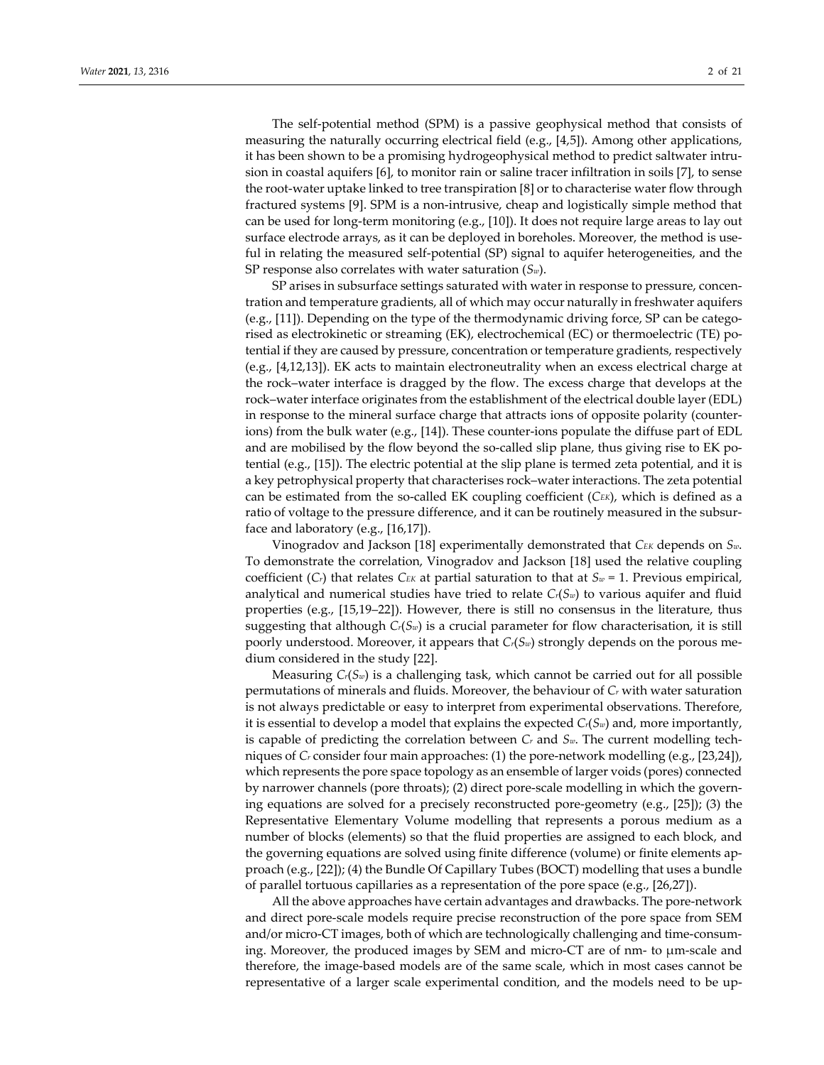The self-potential method (SPM) is a passive geophysical method that consists of measuring the naturally occurring electrical field (e.g., [4,5]). Among other applications, it has been shown to be a promising hydrogeophysical method to predict saltwater intrusion in coastal aquifers [6], to monitor rain or saline tracer infiltration in soils [7], to sense the root-water uptake linked to tree transpiration [8] or to characterise water flow through fractured systems [9]. SPM is a non-intrusive, cheap and logistically simple method that can be used for long-term monitoring (e.g., [10]). It does not require large areas to lay out surface electrode arrays, as it can be deployed in boreholes. Moreover, the method is useful in relating the measured self-potential (SP) signal to aquifer heterogeneities, and the SP response also correlates with water saturation (*Sw*).

SP arises in subsurface settings saturated with water in response to pressure, concentration and temperature gradients, all of which may occur naturally in freshwater aquifers (e.g., [11]). Depending on the type of the thermodynamic driving force, SP can be categorised as electrokinetic or streaming (EK), electrochemical (EC) or thermoelectric (TE) potential if they are caused by pressure, concentration or temperature gradients, respectively (e.g., [4,12,13]). EK acts to maintain electroneutrality when an excess electrical charge at the rock–water interface is dragged by the flow. The excess charge that develops at the rock–water interface originates from the establishment of the electrical double layer (EDL) in response to the mineral surface charge that attracts ions of opposite polarity (counterions) from the bulk water (e.g., [14]). These counter-ions populate the diffuse part of EDL and are mobilised by the flow beyond the so-called slip plane, thus giving rise to EK potential (e.g., [15]). The electric potential at the slip plane is termed zeta potential, and it is a key petrophysical property that characterises rock–water interactions. The zeta potential can be estimated from the so-called EK coupling coefficient (*CEK*), which is defined as a ratio of voltage to the pressure difference, and it can be routinely measured in the subsurface and laboratory (e.g., [16,17]).

Vinogradov and Jackson [18] experimentally demonstrated that *CEK* depends on *Sw*. To demonstrate the correlation, Vinogradov and Jackson [18] used the relative coupling coefficient  $(C_r)$  that relates  $C_{EK}$  at partial saturation to that at  $S_w = 1$ . Previous empirical, analytical and numerical studies have tried to relate  $C_r(S_w)$  to various aquifer and fluid properties (e.g., [15,19–22]). However, there is still no consensus in the literature, thus suggesting that although *Cr*(*Sw*) is a crucial parameter for flow characterisation, it is still poorly understood. Moreover, it appears that *Cr*(*Sw*) strongly depends on the porous medium considered in the study [22].

Measuring *Cr*(*Sw*) is a challenging task, which cannot be carried out for all possible permutations of minerals and fluids. Moreover, the behaviour of *Cr* with water saturation is not always predictable or easy to interpret from experimental observations. Therefore, it is essential to develop a model that explains the expected *Cr*(*Sw*) and, more importantly, is capable of predicting the correlation between *Cr* and *Sw*. The current modelling techniques of *Cr* consider four main approaches: (1) the pore-network modelling (e.g., [23,24]), which represents the pore space topology as an ensemble of larger voids (pores) connected by narrower channels (pore throats); (2) direct pore-scale modelling in which the governing equations are solved for a precisely reconstructed pore-geometry (e.g., [25]); (3) the Representative Elementary Volume modelling that represents a porous medium as a number of blocks (elements) so that the fluid properties are assigned to each block, and the governing equations are solved using finite difference (volume) or finite elements approach (e.g., [22]); (4) the Bundle Of Capillary Tubes (BOCT) modelling that uses a bundle of parallel tortuous capillaries as a representation of the pore space (e.g., [26,27]).

All the above approaches have certain advantages and drawbacks. The pore-network and direct pore-scale models require precise reconstruction of the pore space from SEM and/or micro-CT images, both of which are technologically challenging and time-consuming. Moreover, the produced images by SEM and micro-CT are of nm- to μm-scale and therefore, the image-based models are of the same scale, which in most cases cannot be representative of a larger scale experimental condition, and the models need to be up-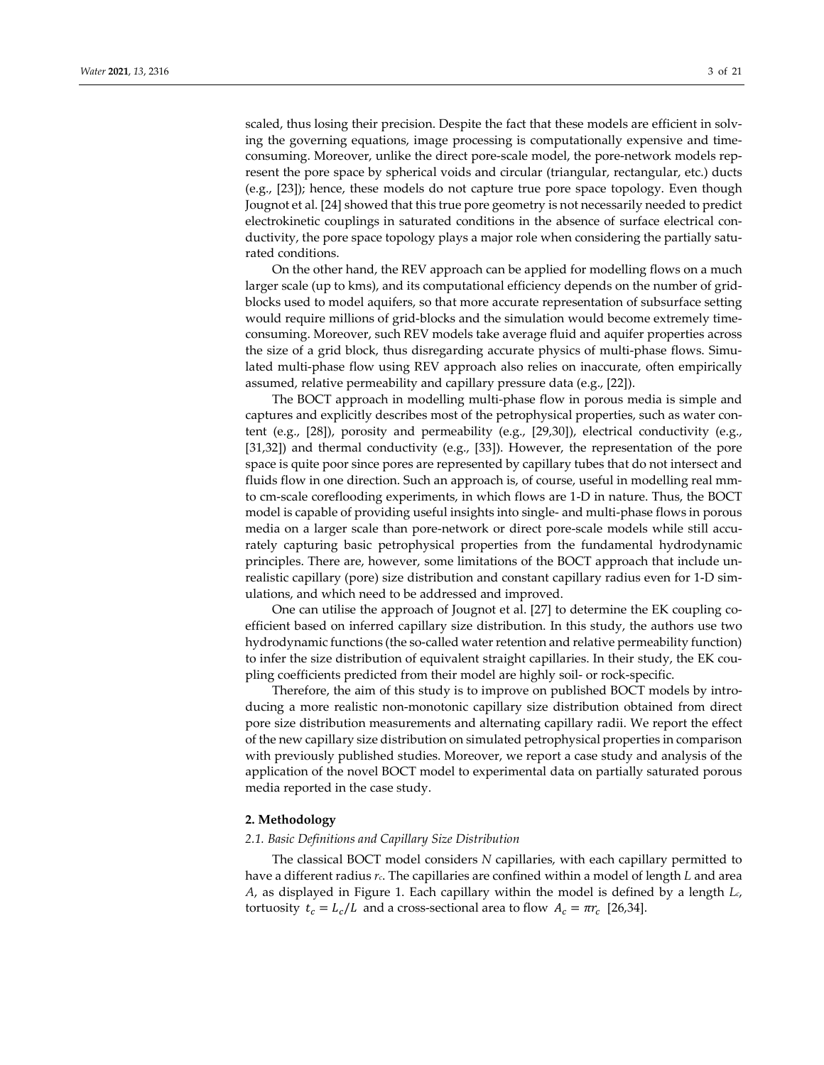scaled, thus losing their precision. Despite the fact that these models are efficient in solving the governing equations, image processing is computationally expensive and timeconsuming. Moreover, unlike the direct pore-scale model, the pore-network models represent the pore space by spherical voids and circular (triangular, rectangular, etc.) ducts (e.g., [23]); hence, these models do not capture true pore space topology. Even though Jougnot et al. [24] showed that this true pore geometry is not necessarily needed to predict electrokinetic couplings in saturated conditions in the absence of surface electrical conductivity, the pore space topology plays a major role when considering the partially saturated conditions.

On the other hand, the REV approach can be applied for modelling flows on a much larger scale (up to kms), and its computational efficiency depends on the number of gridblocks used to model aquifers, so that more accurate representation of subsurface setting would require millions of grid-blocks and the simulation would become extremely timeconsuming. Moreover, such REV models take average fluid and aquifer properties across the size of a grid block, thus disregarding accurate physics of multi-phase flows. Simulated multi-phase flow using REV approach also relies on inaccurate, often empirically assumed, relative permeability and capillary pressure data (e.g., [22]).

The BOCT approach in modelling multi-phase flow in porous media is simple and captures and explicitly describes most of the petrophysical properties, such as water content (e.g., [28]), porosity and permeability (e.g., [29,30]), electrical conductivity (e.g., [31,32]) and thermal conductivity (e.g., [33]). However, the representation of the pore space is quite poor since pores are represented by capillary tubes that do not intersect and fluids flow in one direction. Such an approach is, of course, useful in modelling real mmto cm-scale coreflooding experiments, in which flows are 1-D in nature. Thus, the BOCT model is capable of providing useful insights into single- and multi-phase flows in porous media on a larger scale than pore-network or direct pore-scale models while still accurately capturing basic petrophysical properties from the fundamental hydrodynamic principles. There are, however, some limitations of the BOCT approach that include unrealistic capillary (pore) size distribution and constant capillary radius even for 1-D simulations, and which need to be addressed and improved.

One can utilise the approach of Jougnot et al. [27] to determine the EK coupling coefficient based on inferred capillary size distribution. In this study, the authors use two hydrodynamic functions (the so-called water retention and relative permeability function) to infer the size distribution of equivalent straight capillaries. In their study, the EK coupling coefficients predicted from their model are highly soil- or rock-specific.

Therefore, the aim of this study is to improve on published BOCT models by introducing a more realistic non-monotonic capillary size distribution obtained from direct pore size distribution measurements and alternating capillary radii. We report the effect of the new capillary size distribution on simulated petrophysical properties in comparison with previously published studies. Moreover, we report a case study and analysis of the application of the novel BOCT model to experimental data on partially saturated porous media reported in the case study.

## **2. Methodology**

#### *2.1. Basic Definitions and Capillary Size Distribution*

The classical BOCT model considers *N* capillaries, with each capillary permitted to have a different radius *rc*. The capillaries are confined within a model of length *L* and area *A*, as displayed in Figure 1. Each capillary within the model is defined by a length *Lc*, tortuosity  $t_c = L_c/L$  and a cross-sectional area to flow  $A_c = \pi r_c$  [26,34].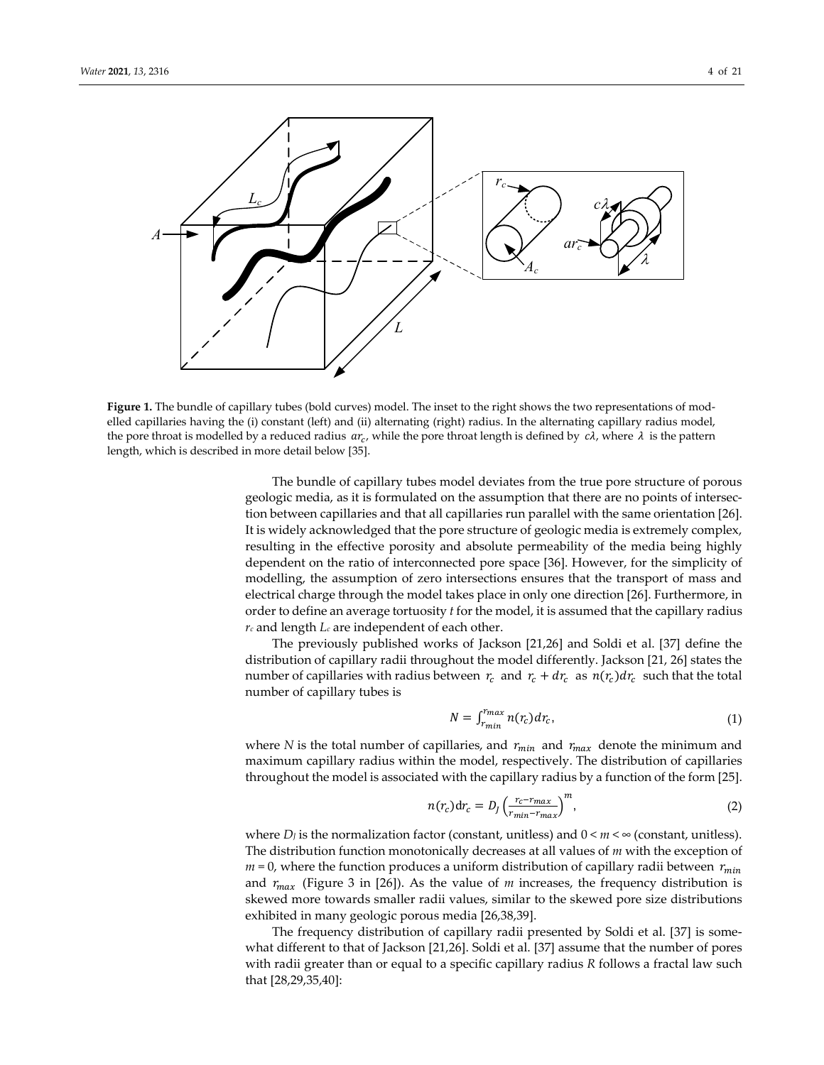

**Figure 1.** The bundle of capillary tubes (bold curves) model. The inset to the right shows the two representations of modelled capillaries having the (i) constant (left) and (ii) alternating (right) radius. In the alternating capillary radius model, the pore throat is modelled by a reduced radius  $ar_c$ , while the pore throat length is defined by  $c\lambda$ , where  $\lambda$  is the pattern length, which is described in more detail below [35].

The bundle of capillary tubes model deviates from the true pore structure of porous geologic media, as it is formulated on the assumption that there are no points of intersection between capillaries and that all capillaries run parallel with the same orientation [26]. It is widely acknowledged that the pore structure of geologic media is extremely complex, resulting in the effective porosity and absolute permeability of the media being highly dependent on the ratio of interconnected pore space [36]. However, for the simplicity of modelling, the assumption of zero intersections ensures that the transport of mass and electrical charge through the model takes place in only one direction [26]. Furthermore, in order to define an average tortuosity *t* for the model, it is assumed that the capillary radius *rc* and length *Lc* are independent of each other.

The previously published works of Jackson [21,26] and Soldi et al. [37] define the distribution of capillary radii throughout the model differently. Jackson [21, 26] states the number of capillaries with radius between  $r_c$  and  $r_c + dr_c$  as  $n(r_c) dr_c$  such that the total number of capillary tubes is

$$
N = \int_{r_{min}}^{r_{max}} n(r_c) dr_c,
$$
\n(1)

where *N* is the total number of capillaries, and  $r_{min}$  and  $r_{max}$  denote the minimum and maximum capillary radius within the model, respectively. The distribution of capillaries throughout the model is associated with the capillary radius by a function of the form [25].

$$
n(r_c)dr_c = D_J \left(\frac{r_c - r_{max}}{r_{min} - r_{max}}\right)^m,\tag{2}
$$

where *D<sub>I</sub>* is the normalization factor (constant, unitless) and 0 < *m* < ∞ (constant, unitless). The distribution function monotonically decreases at all values of *m* with the exception of  $m = 0$ , where the function produces a uniform distribution of capillary radii between  $r_{min}$ and  $r_{max}$  (Figure 3 in [26]). As the value of *m* increases, the frequency distribution is skewed more towards smaller radii values, similar to the skewed pore size distributions exhibited in many geologic porous media [26,38,39].

The frequency distribution of capillary radii presented by Soldi et al. [37] is somewhat different to that of Jackson [21,26]. Soldi et al. [37] assume that the number of pores with radii greater than or equal to a specific capillary radius *R* follows a fractal law such that [28,29,35,40]: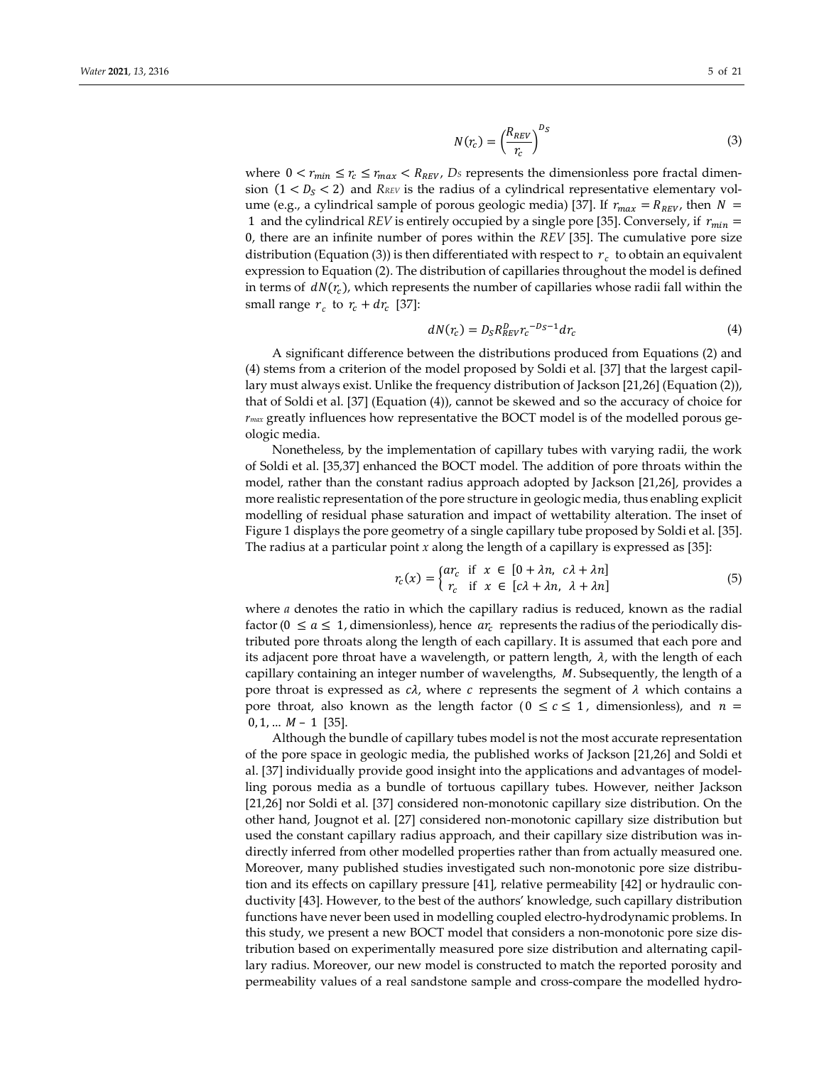$$
N(r_c) = \left(\frac{R_{REV}}{r_c}\right)^{D_S}
$$
\n(3)

where  $0 < r_{min} \le r_c \le r_{max} < R_{REV}$ , Ds represents the dimensionless pore fractal dimension  $(1 < D<sub>S</sub> < 2)$  and *RREV* is the radius of a cylindrical representative elementary volume (e.g., a cylindrical sample of porous geologic media) [37]. If  $r_{max} = R_{REV}$ , then  $N =$ 1 and the cylindrical *REV* is entirely occupied by a single pore [35]. Conversely, if  $r_{min}$  = 0, there are an infinite number of pores within the *REV* [35]. The cumulative pore size distribution (Equation (3)) is then differentiated with respect to  $r_c$  to obtain an equivalent expression to Equation (2). The distribution of capillaries throughout the model is defined in terms of  $dN(r_c)$ , which represents the number of capillaries whose radii fall within the small range  $r_c$  to  $r_c + dr_c$  [37]:

$$
dN(r_c) = D_S R_{REV}^D r_c^{-D_S - 1} dr_c \tag{4}
$$

A significant difference between the distributions produced from Equations (2) and (4) stems from a criterion of the model proposed by Soldi et al. [37] that the largest capillary must always exist. Unlike the frequency distribution of Jackson [21,26] (Equation (2)), that of Soldi et al. [37] (Equation (4)), cannot be skewed and so the accuracy of choice for *rmax* greatly influences how representative the BOCT model is of the modelled porous geologic media.

Nonetheless, by the implementation of capillary tubes with varying radii, the work of Soldi et al. [35,37] enhanced the BOCT model. The addition of pore throats within the model, rather than the constant radius approach adopted by Jackson [21,26], provides a more realistic representation of the pore structure in geologic media, thus enabling explicit modelling of residual phase saturation and impact of wettability alteration. The inset of Figure 1 displays the pore geometry of a single capillary tube proposed by Soldi et al. [35]. The radius at a particular point *x* along the length of a capillary is expressed as [35]:

$$
r_c(x) = \begin{cases} ar_c & \text{if } x \in [0 + \lambda n, \ c\lambda + \lambda n] \\ r_c & \text{if } x \in [c\lambda + \lambda n, \ \lambda + \lambda n] \end{cases}
$$
(5)

where *a* denotes the ratio in which the capillary radius is reduced, known as the radial factor ( $0 \le a \le 1$ , dimensionless), hence  $ar_c$  represents the radius of the periodically distributed pore throats along the length of each capillary. It is assumed that each pore and its adjacent pore throat have a wavelength, or pattern length,  $\lambda$ , with the length of each capillary containing an integer number of wavelengths,  $M$ . Subsequently, the length of a pore throat is expressed as  $c\lambda$ , where c represents the segment of  $\lambda$  which contains a pore throat, also known as the length factor ( $0 \leq c \leq 1$ , dimensionless), and  $n =$  $0, 1, \ldots$   $M - 1$  [35].

Although the bundle of capillary tubes model is not the most accurate representation of the pore space in geologic media, the published works of Jackson [21,26] and Soldi et al. [37] individually provide good insight into the applications and advantages of modelling porous media as a bundle of tortuous capillary tubes. However, neither Jackson [21,26] nor Soldi et al. [37] considered non-monotonic capillary size distribution. On the other hand, Jougnot et al. [27] considered non-monotonic capillary size distribution but used the constant capillary radius approach, and their capillary size distribution was indirectly inferred from other modelled properties rather than from actually measured one. Moreover, many published studies investigated such non-monotonic pore size distribution and its effects on capillary pressure [41], relative permeability [42] or hydraulic conductivity [43]. However, to the best of the authors' knowledge, such capillary distribution functions have never been used in modelling coupled electro-hydrodynamic problems. In this study, we present a new BOCT model that considers a non-monotonic pore size distribution based on experimentally measured pore size distribution and alternating capillary radius. Moreover, our new model is constructed to match the reported porosity and permeability values of a real sandstone sample and cross-compare the modelled hydro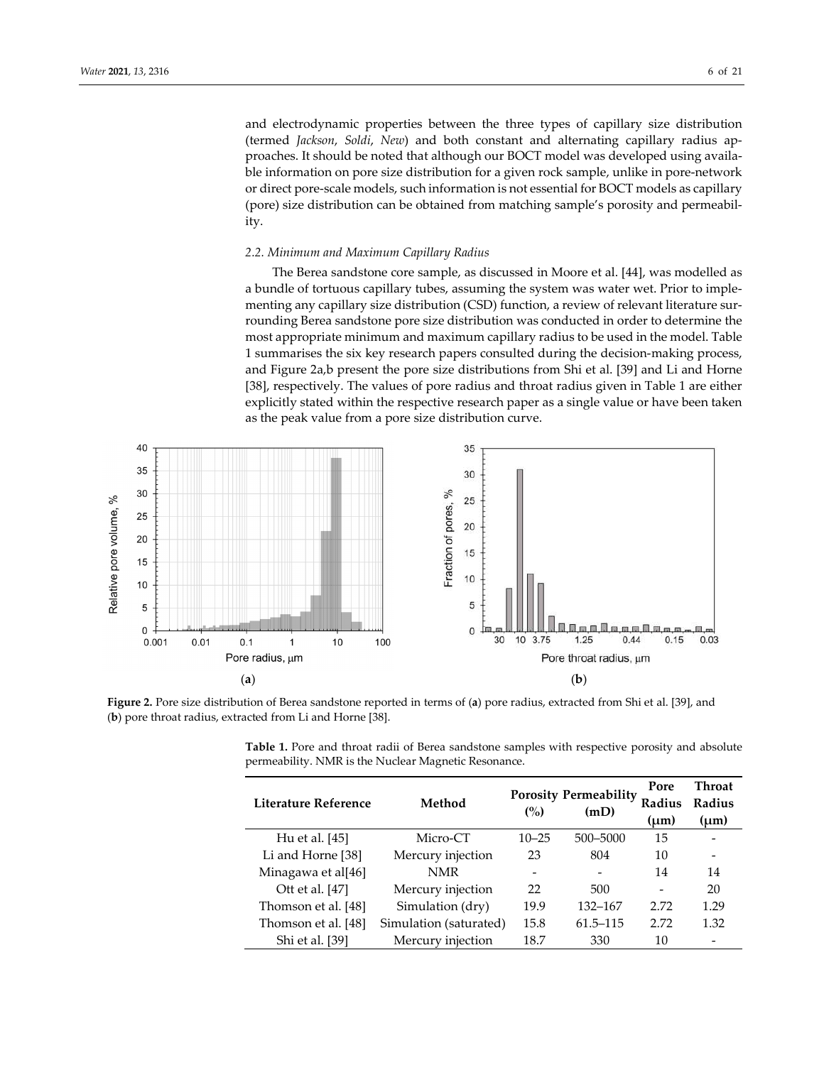and electrodynamic properties between the three types of capillary size distribution (termed *Jackson*, *Soldi*, *New*) and both constant and alternating capillary radius approaches. It should be noted that although our BOCT model was developed using available information on pore size distribution for a given rock sample, unlike in pore-network or direct pore-scale models, such information is not essential for BOCT models as capillary (pore) size distribution can be obtained from matching sample's porosity and permeability.

## *2.2. Minimum and Maximum Capillary Radius*

The Berea sandstone core sample, as discussed in Moore et al. [44], was modelled as a bundle of tortuous capillary tubes, assuming the system was water wet. Prior to implementing any capillary size distribution (CSD) function, a review of relevant literature surrounding Berea sandstone pore size distribution was conducted in order to determine the most appropriate minimum and maximum capillary radius to be used in the model. Table 1 summarises the six key research papers consulted during the decision-making process, and Figure 2a,b present the pore size distributions from Shi et al. [39] and Li and Horne [38], respectively. The values of pore radius and throat radius given in Table 1 are either explicitly stated within the respective research paper as a single value or have been taken as the peak value from a pore size distribution curve.



**Figure 2.** Pore size distribution of Berea sandstone reported in terms of (**a**) pore radius, extracted from Shi et al. [39], and (**b**) pore throat radius, extracted from Li and Horne [38].

| Literature Reference | Method                 | (%)       | <b>Porosity Permeability</b><br>(mD) | Pore<br>Radius<br>(um)   | Throat<br>Radius<br>$\mu$ m) |
|----------------------|------------------------|-----------|--------------------------------------|--------------------------|------------------------------|
| Hu et al. [45]       | Micro-CT               | $10 - 25$ | 500-5000                             | 15                       |                              |
| Li and Horne [38]    | Mercury injection      | 23        | 804                                  | 10                       |                              |
| Minagawa et al[46]   | NMR                    | -         |                                      | 14                       | 14                           |
| Ott et al. [47]      | Mercury injection      | 22        | 500                                  | $\overline{\phantom{0}}$ | 20                           |
| Thomson et al. [48]  | Simulation (dry)       | 19.9      | 132-167                              | 2.72                     | 1.29                         |
| Thomson et al. [48]  | Simulation (saturated) | 15.8      | $61.5 - 115$                         | 2.72                     | 1.32                         |
| Shi et al. [39]      | Mercury injection      | 18.7      | 330                                  | 10                       |                              |

**Table 1.** Pore and throat radii of Berea sandstone samples with respective porosity and absolute permeability. NMR is the Nuclear Magnetic Resonance.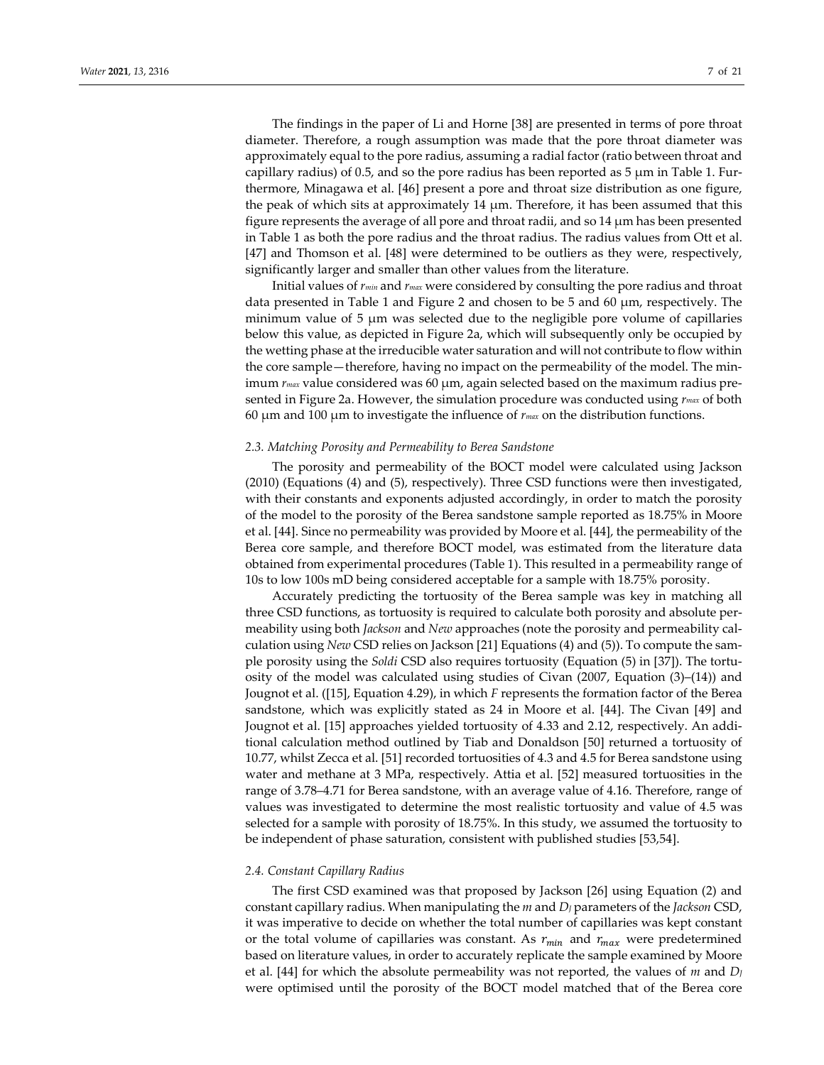The findings in the paper of Li and Horne [38] are presented in terms of pore throat diameter. Therefore, a rough assumption was made that the pore throat diameter was approximately equal to the pore radius, assuming a radial factor (ratio between throat and capillary radius) of 0.5, and so the pore radius has been reported as 5  $\mu$ m in Table 1. Furthermore, Minagawa et al. [46] present a pore and throat size distribution as one figure, the peak of which sits at approximately 14  $\mu$ m. Therefore, it has been assumed that this figure represents the average of all pore and throat radii, and so 14 μm has been presented in Table 1 as both the pore radius and the throat radius. The radius values from Ott et al. [47] and Thomson et al. [48] were determined to be outliers as they were, respectively, significantly larger and smaller than other values from the literature.

Initial values of *rmin* and *rmax* were considered by consulting the pore radius and throat data presented in Table 1 and Figure 2 and chosen to be 5 and 60 μm, respectively. The minimum value of 5 μm was selected due to the negligible pore volume of capillaries below this value, as depicted in Figure 2a, which will subsequently only be occupied by the wetting phase at the irreducible water saturation and will not contribute to flow within the core sample—therefore, having no impact on the permeability of the model. The minimum *rmax* value considered was 60 μm, again selected based on the maximum radius presented in Figure 2a. However, the simulation procedure was conducted using *rmax* of both 60 μm and 100 μm to investigate the influence of *rmax* on the distribution functions.

## *2.3. Matching Porosity and Permeability to Berea Sandstone*

The porosity and permeability of the BOCT model were calculated using Jackson (2010) (Equations (4) and (5), respectively). Three CSD functions were then investigated, with their constants and exponents adjusted accordingly, in order to match the porosity of the model to the porosity of the Berea sandstone sample reported as 18.75% in Moore et al. [44]. Since no permeability was provided by Moore et al. [44], the permeability of the Berea core sample, and therefore BOCT model, was estimated from the literature data obtained from experimental procedures (Table 1). This resulted in a permeability range of 10s to low 100s mD being considered acceptable for a sample with 18.75% porosity.

Accurately predicting the tortuosity of the Berea sample was key in matching all three CSD functions, as tortuosity is required to calculate both porosity and absolute permeability using both *Jackson* and *New* approaches (note the porosity and permeability calculation using *New* CSD relies on Jackson [21] Equations (4) and (5)). To compute the sample porosity using the *Soldi* CSD also requires tortuosity (Equation (5) in [37]). The tortuosity of the model was calculated using studies of Civan (2007, Equation (3)–(14)) and Jougnot et al. ([15], Equation 4.29), in which *F* represents the formation factor of the Berea sandstone, which was explicitly stated as 24 in Moore et al. [44]. The Civan [49] and Jougnot et al. [15] approaches yielded tortuosity of 4.33 and 2.12, respectively. An additional calculation method outlined by Tiab and Donaldson [50] returned a tortuosity of 10.77, whilst Zecca et al. [51] recorded tortuosities of 4.3 and 4.5 for Berea sandstone using water and methane at 3 MPa, respectively. Attia et al. [52] measured tortuosities in the range of 3.78–4.71 for Berea sandstone, with an average value of 4.16. Therefore, range of values was investigated to determine the most realistic tortuosity and value of 4.5 was selected for a sample with porosity of 18.75%. In this study, we assumed the tortuosity to be independent of phase saturation, consistent with published studies [53,54].

#### *2.4. Constant Capillary Radius*

The first CSD examined was that proposed by Jackson [26] using Equation (2) and constant capillary radius. When manipulating the *m* and *DJ* parameters of the *Jackson* CSD, it was imperative to decide on whether the total number of capillaries was kept constant or the total volume of capillaries was constant. As  $r_{min}$  and  $r_{max}$  were predetermined based on literature values, in order to accurately replicate the sample examined by Moore et al. [44] for which the absolute permeability was not reported, the values of *m* and *DJ* were optimised until the porosity of the BOCT model matched that of the Berea core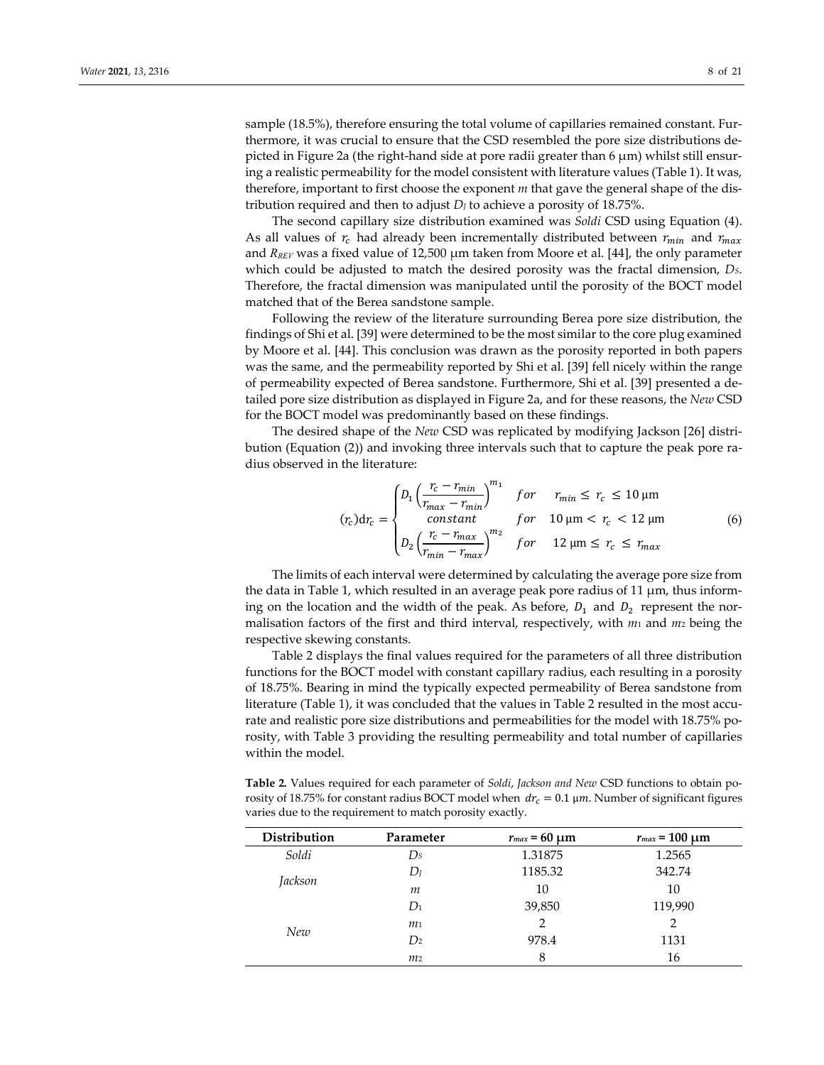sample (18.5%), therefore ensuring the total volume of capillaries remained constant. Furthermore, it was crucial to ensure that the CSD resembled the pore size distributions depicted in Figure 2a (the right-hand side at pore radii greater than  $6 \mu m$ ) whilst still ensuring a realistic permeability for the model consistent with literature values (Table 1). It was, therefore, important to first choose the exponent *m* that gave the general shape of the distribution required and then to adjust  $D_J$  to achieve a porosity of 18.75%.

The second capillary size distribution examined was *Soldi* CSD using Equation (4). As all values of  $r_c$  had already been incrementally distributed between  $r_{min}$  and  $r_{max}$ and *RREV* was a fixed value of 12,500 μm taken from Moore et al. [44], the only parameter which could be adjusted to match the desired porosity was the fractal dimension, *DS*. Therefore, the fractal dimension was manipulated until the porosity of the BOCT model matched that of the Berea sandstone sample.

Following the review of the literature surrounding Berea pore size distribution, the findings of Shi et al. [39] were determined to be the most similar to the core plug examined by Moore et al. [44]. This conclusion was drawn as the porosity reported in both papers was the same, and the permeability reported by Shi et al. [39] fell nicely within the range of permeability expected of Berea sandstone. Furthermore, Shi et al. [39] presented a detailed pore size distribution as displayed in Figure 2a, and for these reasons, the *New* CSD for the BOCT model was predominantly based on these findings.

The desired shape of the *New* CSD was replicated by modifying Jackson [26] distribution (Equation (2)) and invoking three intervals such that to capture the peak pore radius observed in the literature:

$$
(r_c) \mathrm{d}r_c = \begin{cases} D_1 \left( \frac{r_c - r_{min}}{r_{max} - r_{min}} \right)^{m_1} & \text{for} \quad r_{min} \le r_c \le 10 \,\mu\text{m} \\ & \text{constant} \quad & \text{for} \quad 10 \,\mu\text{m} < r_c < 12 \,\mu\text{m} \\ D_2 \left( \frac{r_c - r_{max}}{r_{min} - r_{max}} \right)^{m_2} & \text{for} \quad 12 \,\mu\text{m} \le r_c \le r_{max} \end{cases} \tag{6}
$$

The limits of each interval were determined by calculating the average pore size from the data in Table 1, which resulted in an average peak pore radius of 11 μm, thus informing on the location and the width of the peak. As before,  $D_1$  and  $D_2$  represent the normalisation factors of the first and third interval, respectively, with *m*<sup>1</sup> and *m*<sup>2</sup> being the respective skewing constants.

Table 2 displays the final values required for the parameters of all three distribution functions for the BOCT model with constant capillary radius, each resulting in a porosity of 18.75%. Bearing in mind the typically expected permeability of Berea sandstone from literature (Table 1), it was concluded that the values in Table 2 resulted in the most accurate and realistic pore size distributions and permeabilities for the model with 18.75% porosity, with Table 3 providing the resulting permeability and total number of capillaries within the model.

**Table 2.** Values required for each parameter of *Soldi*, *Jackson and New* CSD functions to obtain porosity of 18.75% for constant radius BOCT model when  $dr_c = 0.1 \mu m$ . Number of significant figures varies due to the requirement to match porosity exactly.

| Distribution | Parameter      | $r_{max} = 60 \mu m$ | $r_{max}$ = 100 $\mu$ m |
|--------------|----------------|----------------------|-------------------------|
| Soldi        | $D_{S}$        | 1.31875              | 1.2565                  |
| Jackson      | $D_I$          | 1185.32              | 342.74                  |
|              | m              | 10                   | 10                      |
| New          | $D_1$          | 39,850               | 119,990                 |
|              | m <sub>1</sub> | $\mathcal{P}$        | $\overline{2}$          |
|              | D <sub>2</sub> | 978.4                | 1131                    |
|              | m <sub>2</sub> | 8                    | 16                      |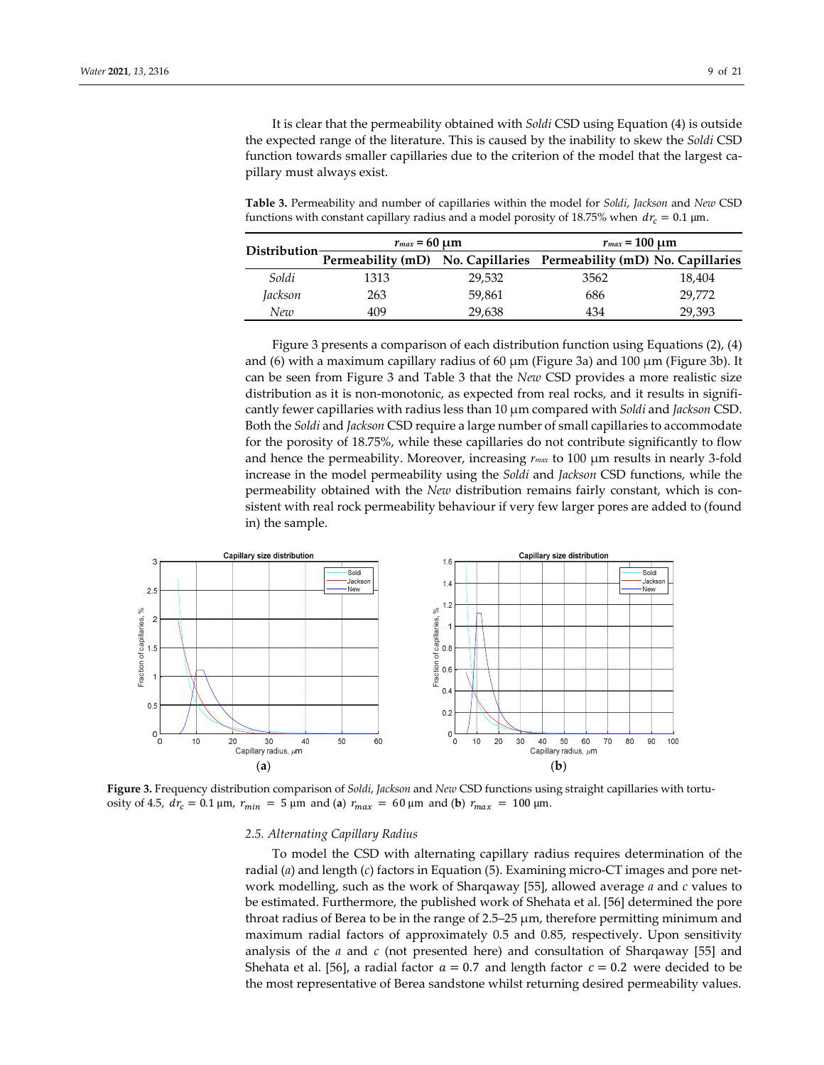It is clear that the permeability obtained with *Soldi* CSD using Equation (4) is outside the expected range of the literature. This is caused by the inability to skew the *Soldi* CSD function towards smaller capillaries due to the criterion of the model that the largest capillary must always exist.

**Table 3.** Permeability and number of capillaries within the model for *Soldi*, *Jackson* and *New* CSD functions with constant capillary radius and a model porosity of 18.75% when  $dr_c = 0.1 \,\text{\mu m}$ .

|                            | $r_{max} = 60 \mu m$                                                |        | $r_{max}$ = 100 $\mu$ m |        |
|----------------------------|---------------------------------------------------------------------|--------|-------------------------|--------|
| Distribution $\frac{1}{n}$ | Permeability (mD) No. Capillaries Permeability (mD) No. Capillaries |        |                         |        |
| Soldi                      | 1313                                                                | 29.532 | 3562                    | 18,404 |
| Jackson                    | 263                                                                 | 59.861 | 686                     | 29.772 |
| New                        | 409                                                                 | 29,638 | 434                     | 29,393 |

Figure 3 presents a comparison of each distribution function using Equations (2), (4) and (6) with a maximum capillary radius of 60  $\mu$ m (Figure 3a) and 100  $\mu$ m (Figure 3b). It can be seen from Figure 3 and Table 3 that the *New* CSD provides a more realistic size distribution as it is non-monotonic, as expected from real rocks, and it results in significantly fewer capillaries with radius less than 10 μm compared with *Soldi* and *Jackson* CSD. Both the *Soldi* and *Jackson* CSD require a large number of small capillaries to accommodate for the porosity of 18.75%, while these capillaries do not contribute significantly to flow and hence the permeability. Moreover, increasing *rmax* to 100 μm results in nearly 3-fold increase in the model permeability using the *Soldi* and *Jackson* CSD functions, while the permeability obtained with the *New* distribution remains fairly constant, which is consistent with real rock permeability behaviour if very few larger pores are added to (found in) the sample.



**Figure 3.** Frequency distribution comparison of *Soldi*, *Jackson* and *New* CSD functions using straight capillaries with tortuosity of 4.5,  $dr_c = 0.1 \,\mu\text{m}$ ,  $r_{min} = 5 \,\mu\text{m}$  and (**a**)  $r_{max} = 60 \,\mu\text{m}$  and (**b**)  $r_{max} = 100 \,\mu\text{m}$ .

## *2.5. Alternating Capillary Radius*

To model the CSD with alternating capillary radius requires determination of the radial (*a*) and length (*c*) factors in Equation (5). Examining micro-CT images and pore network modelling, such as the work of Sharqaway [55], allowed average *a* and *c* values to be estimated. Furthermore, the published work of Shehata et al. [56] determined the pore throat radius of Berea to be in the range of 2.5–25 μm, therefore permitting minimum and maximum radial factors of approximately 0.5 and 0.85, respectively. Upon sensitivity analysis of the *a* and *c* (not presented here) and consultation of Sharqaway [55] and Shehata et al. [56], a radial factor  $a = 0.7$  and length factor  $c = 0.2$  were decided to be the most representative of Berea sandstone whilst returning desired permeability values.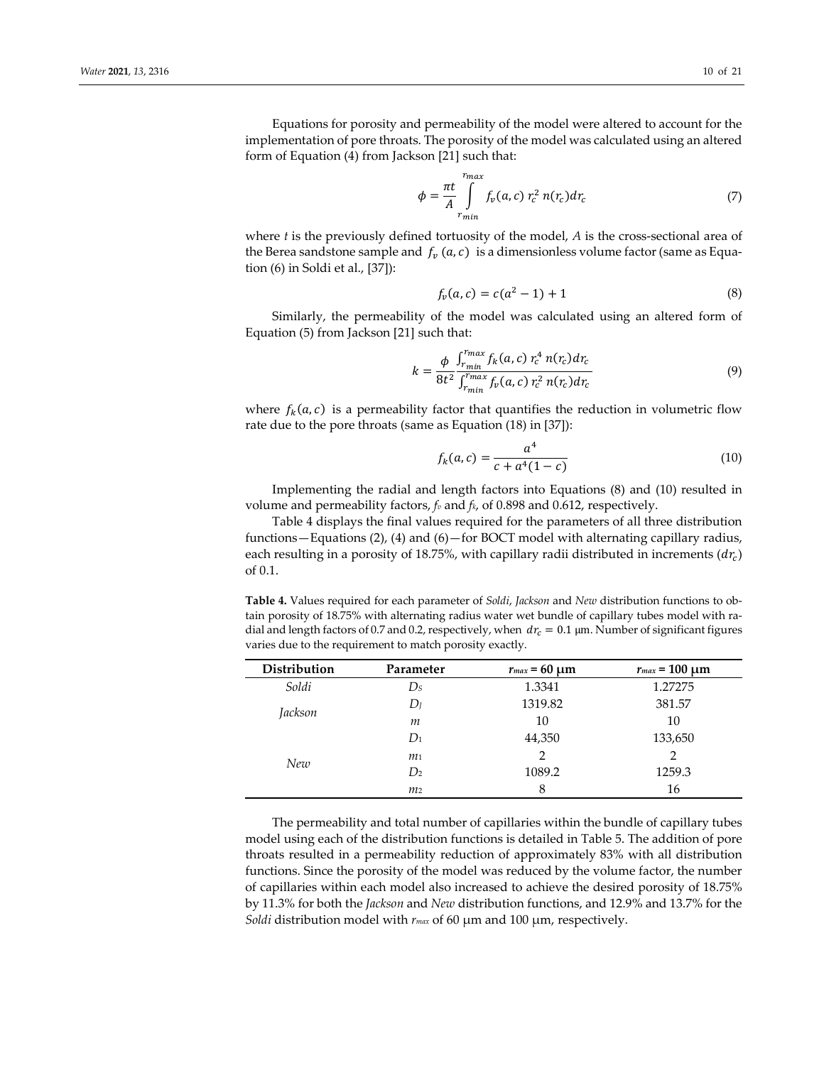Equations for porosity and permeability of the model were altered to account for the implementation of pore throats. The porosity of the model was calculated using an altered form of Equation (4) from Jackson [21] such that:

$$
\phi = \frac{\pi t}{A} \int_{r_{min}}^{r_{max}} f_v(a, c) r_c^2 n(r_c) dr_c \tag{7}
$$

where *t* is the previously defined tortuosity of the model, *A* is the cross-sectional area of the Berea sandstone sample and  $f_\nu(a, c)$  is a dimensionless volume factor (same as Equation (6) in Soldi et al., [37]):

$$
f_v(a,c) = c(a^2 - 1) + 1 \tag{8}
$$

Similarly, the permeability of the model was calculated using an altered form of Equation (5) from Jackson [21] such that:

$$
k = \frac{\phi}{8t^2} \frac{\int_{r_{min}}^{r_{max}} f_k(a, c) r_c^4 n(r_c) dr_c}{\int_{r_{min}}^{r_{max}} f_v(a, c) r_c^2 n(r_c) dr_c}
$$
(9)

where  $f_k(a, c)$  is a permeability factor that quantifies the reduction in volumetric flow rate due to the pore throats (same as Equation (18) in [37]):

$$
f_k(a,c) = \frac{a^4}{c + a^4(1 - c)}
$$
\n(10)

Implementing the radial and length factors into Equations (8) and (10) resulted in volume and permeability factors, *fv* and *fk*, of 0.898 and 0.612, respectively.

Table 4 displays the final values required for the parameters of all three distribution functions – Equations (2), (4) and (6) – for BOCT model with alternating capillary radius, each resulting in a porosity of 18.75%, with capillary radii distributed in increments  $(dr_c)$ of 0.1.

**Table 4.** Values required for each parameter of *Soldi*, *Jackson* and *New* distribution functions to obtain porosity of 18.75% with alternating radius water wet bundle of capillary tubes model with radial and length factors of 0.7 and 0.2, respectively, when  $dr_c = 0.1 \,\text{\mu m}$ . Number of significant figures varies due to the requirement to match porosity exactly.

| Distribution | Parameter      | $r_{max} = 60 \mu m$ | $r_{max}$ = 100 $\mu$ m |
|--------------|----------------|----------------------|-------------------------|
| Soldi        | $\n  Ds\n$     | 1.3341               | 1.27275                 |
| Jackson      | $D_I$          | 1319.82              | 381.57                  |
|              | m              | 10                   | 10                      |
| New          | $D_1$          | 44,350               | 133,650                 |
|              | m <sub>1</sub> | $\mathfrak{D}$       | $\mathcal{P}$           |
|              | D <sub>2</sub> | 1089.2               | 1259.3                  |
|              | m <sub>2</sub> | 8                    | 16                      |

The permeability and total number of capillaries within the bundle of capillary tubes model using each of the distribution functions is detailed in Table 5. The addition of pore throats resulted in a permeability reduction of approximately 83% with all distribution functions. Since the porosity of the model was reduced by the volume factor, the number of capillaries within each model also increased to achieve the desired porosity of 18.75% by 11.3% for both the *Jackson* and *New* distribution functions, and 12.9% and 13.7% for the *Soldi* distribution model with *rmax* of 60 μm and 100 μm, respectively.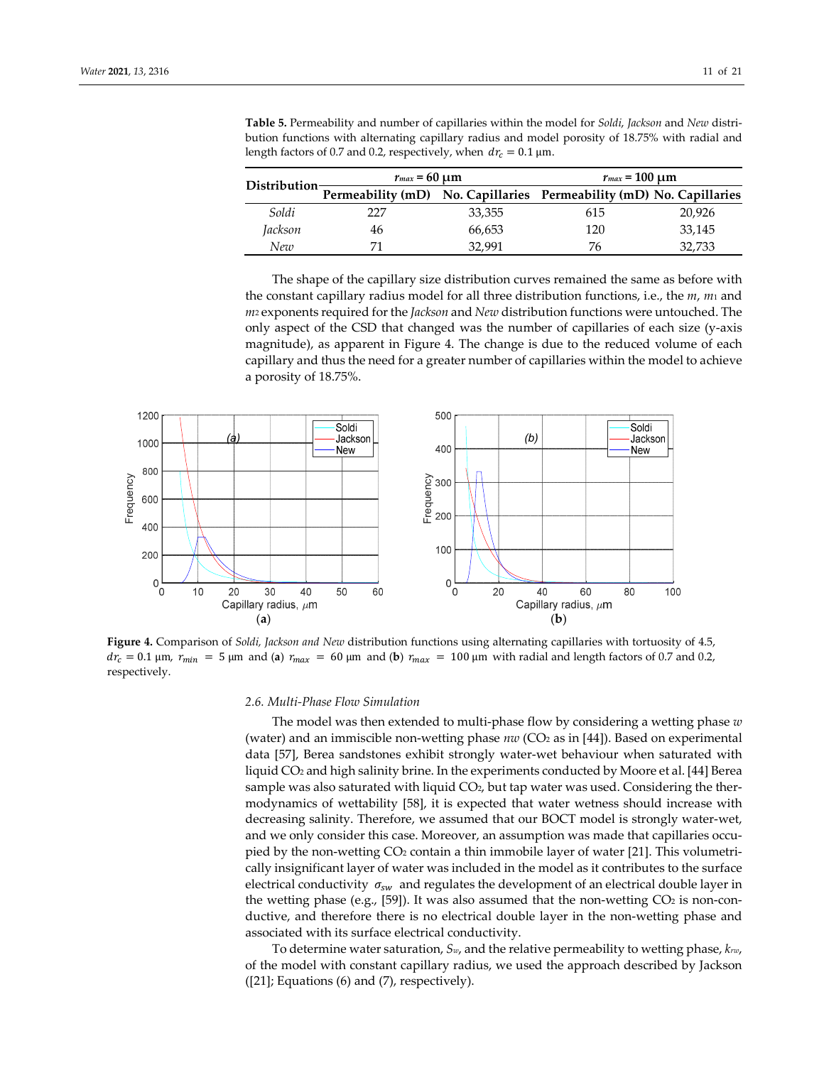|                    | $r_{max}$ = 60 $\mu$ m                                              |        | $r_{max}$ = 100 $\mu$ m |        |
|--------------------|---------------------------------------------------------------------|--------|-------------------------|--------|
| Distribution $\pm$ | Permeability (mD) No. Capillaries Permeability (mD) No. Capillaries |        |                         |        |
| Soldi              | 227                                                                 | 33,355 | 615                     | 20,926 |
| Jackson            | 46                                                                  | 66,653 | 120                     | 33,145 |
| New                |                                                                     | 32.991 | 76                      | 32,733 |

**Table 5.** Permeability and number of capillaries within the model for *Soldi*, *Jackson* and *New* distribution functions with alternating capillary radius and model porosity of 18.75% with radial and length factors of 0.7 and 0.2, respectively, when  $dr_c = 0.1 \text{ }\mu\text{m}$ .

The shape of the capillary size distribution curves remained the same as before with the constant capillary radius model for all three distribution functions, i.e., the *m*, *m*<sup>1</sup> and *m*<sup>2</sup> exponents required for the *Jackson* and *New* distribution functions were untouched. The only aspect of the CSD that changed was the number of capillaries of each size (y-axis magnitude), as apparent in Figure 4. The change is due to the reduced volume of each capillary and thus the need for a greater number of capillaries within the model to achieve a porosity of 18.75%.

![](_page_10_Figure_4.jpeg)

**Figure 4.** Comparison of *Soldi, Jackson and New* distribution functions using alternating capillaries with tortuosity of 4.5,  $dr_c = 0.1$  μm,  $r_{min} = 5$  μm and (**a**)  $r_{max} = 60$  μm and (**b**)  $r_{max} = 100$  μm with radial and length factors of 0.7 and 0.2, respectively.

#### *2.6. Multi-Phase Flow Simulation*

The model was then extended to multi-phase flow by considering a wetting phase *w* (water) and an immiscible non-wetting phase *nw* (CO2 as in [44]). Based on experimental data [57], Berea sandstones exhibit strongly water-wet behaviour when saturated with liquid CO2 and high salinity brine. In the experiments conducted by Moore et al. [44] Berea sample was also saturated with liquid  $CO<sub>2</sub>$ , but tap water was used. Considering the thermodynamics of wettability [58], it is expected that water wetness should increase with decreasing salinity. Therefore, we assumed that our BOCT model is strongly water-wet, and we only consider this case. Moreover, an assumption was made that capillaries occupied by the non-wetting CO2 contain a thin immobile layer of water [21]. This volumetrically insignificant layer of water was included in the model as it contributes to the surface electrical conductivity  $\sigma_{sw}$  and regulates the development of an electrical double layer in the wetting phase (e.g., [59]). It was also assumed that the non-wetting  $CO<sub>2</sub>$  is non-conductive, and therefore there is no electrical double layer in the non-wetting phase and associated with its surface electrical conductivity.

To determine water saturation, *Sw*, and the relative permeability to wetting phase, *krw*, of the model with constant capillary radius, we used the approach described by Jackson ([21]; Equations (6) and (7), respectively).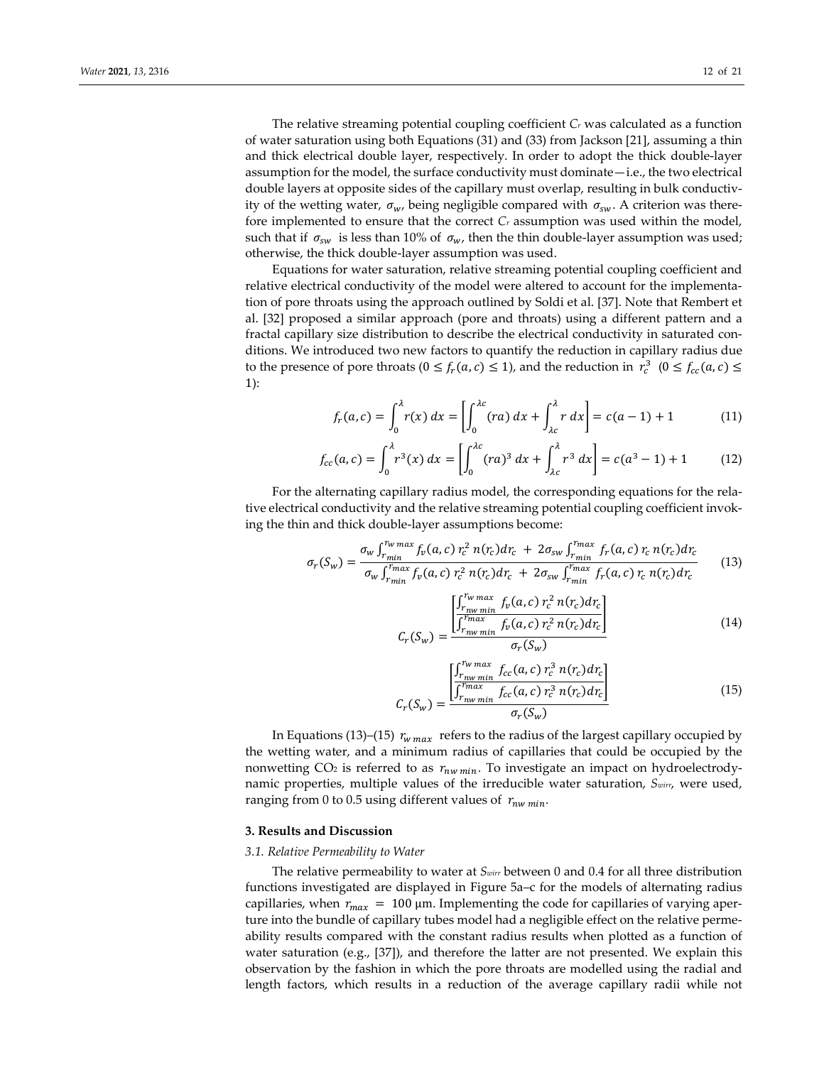The relative streaming potential coupling coefficient *Cr* was calculated as a function of water saturation using both Equations (31) and (33) from Jackson [21], assuming a thin and thick electrical double layer, respectively. In order to adopt the thick double-layer assumption for the model, the surface conductivity must dominate—i.e., the two electrical double layers at opposite sides of the capillary must overlap, resulting in bulk conductivity of the wetting water,  $\sigma_w$ , being negligible compared with  $\sigma_{sw}$ . A criterion was therefore implemented to ensure that the correct  $C_r$  assumption was used within the model, such that if  $\sigma_{sw}$  is less than 10% of  $\sigma_w$ , then the thin double-layer assumption was used; otherwise, the thick double-layer assumption was used.

Equations for water saturation, relative streaming potential coupling coefficient and relative electrical conductivity of the model were altered to account for the implementation of pore throats using the approach outlined by Soldi et al. [37]. Note that Rembert et al. [32] proposed a similar approach (pore and throats) using a different pattern and a fractal capillary size distribution to describe the electrical conductivity in saturated conditions. We introduced two new factors to quantify the reduction in capillary radius due to the presence of pore throats  $(0 \le f_r(a,c) \le 1)$ , and the reduction in  $r_c^3$   $(0 \le f_{cc}(a,c) \le$ 1):

$$
f_r(a,c) = \int_0^{\lambda} r(x) dx = \left[ \int_0^{\lambda c} (ra) dx + \int_{\lambda c}^{\lambda} r dx \right] = c(a-1) + 1 \tag{11}
$$

$$
f_{cc}(a,c) = \int_0^{\lambda} r^3(x) dx = \left[ \int_0^{\lambda c} (ra)^3 dx + \int_{\lambda c}^{\lambda} r^3 dx \right] = c(a^3 - 1) + 1 \tag{12}
$$

For the alternating capillary radius model, the corresponding equations for the relative electrical conductivity and the relative streaming potential coupling coefficient invoking the thin and thick double-layer assumptions become:

$$
\sigma_r(S_w) = \frac{\sigma_w \int_{r_{min}}^{r_{w \max}} f_v(a, c) r_c^2 n(r_c) dr_c + 2\sigma_{sw} \int_{r_{min}}^{r_{max}} f_r(a, c) r_c n(r_c) dr_c}{\sigma_w \int_{r_{min}}^{r_{max}} f_v(a, c) r_c^2 n(r_c) dr_c + 2\sigma_{sw} \int_{r_{min}}^{r_{max}} f_r(a, c) r_c n(r_c) dr_c}
$$
(13)

$$
C_{r}(S_{w}) = \frac{\begin{bmatrix} \int_{r_{nw} min}^{r_{w} max} f_{v}(a, c) r_{c}^{2} n(r_{c}) dr_{c} \\ \int_{r_{nw} min}^{r_{max}} f_{v}(a, c) r_{c}^{2} n(r_{c}) dr_{c} \end{bmatrix}}{\sigma_{r}(S_{w})}
$$
(14)

$$
C_{r}(S_{w}) = \frac{\begin{bmatrix} \int_{r_{mw}min}^{r_{w}max} f_{cc}(a,c) \, r_{c}^{3} \, n(r_{c}) dr_{c} \\ \int_{r_{mw}min}^{r_{max}} f_{cc}(a,c) \, r_{c}^{3} \, n(r_{c}) dr_{c} \end{bmatrix}}{\sigma_{r}(S_{w})}
$$
(15)

In Equations (13)–(15)  $r_{w \, max}$  refers to the radius of the largest capillary occupied by the wetting water, and a minimum radius of capillaries that could be occupied by the nonwetting  $CO<sub>2</sub>$  is referred to as  $r_{nw,min}$ . To investigate an impact on hydroelectrodynamic properties, multiple values of the irreducible water saturation, *Swirr*, were used, ranging from 0 to 0.5 using different values of  $r_{nw,min}$ .

## **3. Results and Discussion**

#### *3.1. Relative Permeability to Water*

The relative permeability to water at *Swirr* between 0 and 0.4 for all three distribution functions investigated are displayed in Figure 5a–c for the models of alternating radius capillaries, when  $r_{max} = 100 \mu m$ . Implementing the code for capillaries of varying aperture into the bundle of capillary tubes model had a negligible effect on the relative permeability results compared with the constant radius results when plotted as a function of water saturation (e.g., [37]), and therefore the latter are not presented. We explain this observation by the fashion in which the pore throats are modelled using the radial and length factors, which results in a reduction of the average capillary radii while not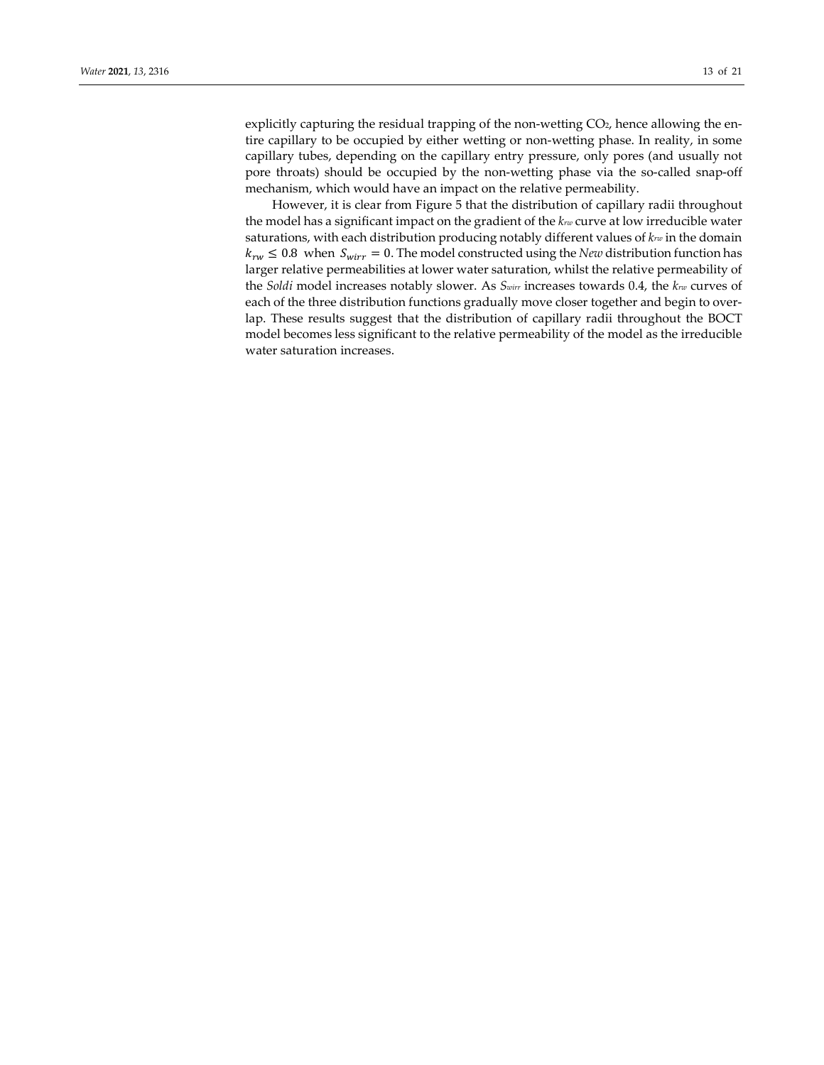explicitly capturing the residual trapping of the non-wetting CO<sub>2</sub>, hence allowing the entire capillary to be occupied by either wetting or non-wetting phase. In reality, in some capillary tubes, depending on the capillary entry pressure, only pores (and usually not pore throats) should be occupied by the non-wetting phase via the so-called snap-off mechanism, which would have an impact on the relative permeability.

However, it is clear from Figure 5 that the distribution of capillary radii throughout the model has a significant impact on the gradient of the *krw* curve at low irreducible water saturations, with each distribution producing notably different values of *krw* in the domain  $k_{rw} \leq 0.8$  when  $S_{wirr} = 0$ . The model constructed using the *New* distribution function has larger relative permeabilities at lower water saturation, whilst the relative permeability of the *Soldi* model increases notably slower. As *Swirr* increases towards 0.4, the *krw* curves of each of the three distribution functions gradually move closer together and begin to overlap. These results suggest that the distribution of capillary radii throughout the BOCT model becomes less significant to the relative permeability of the model as the irreducible water saturation increases.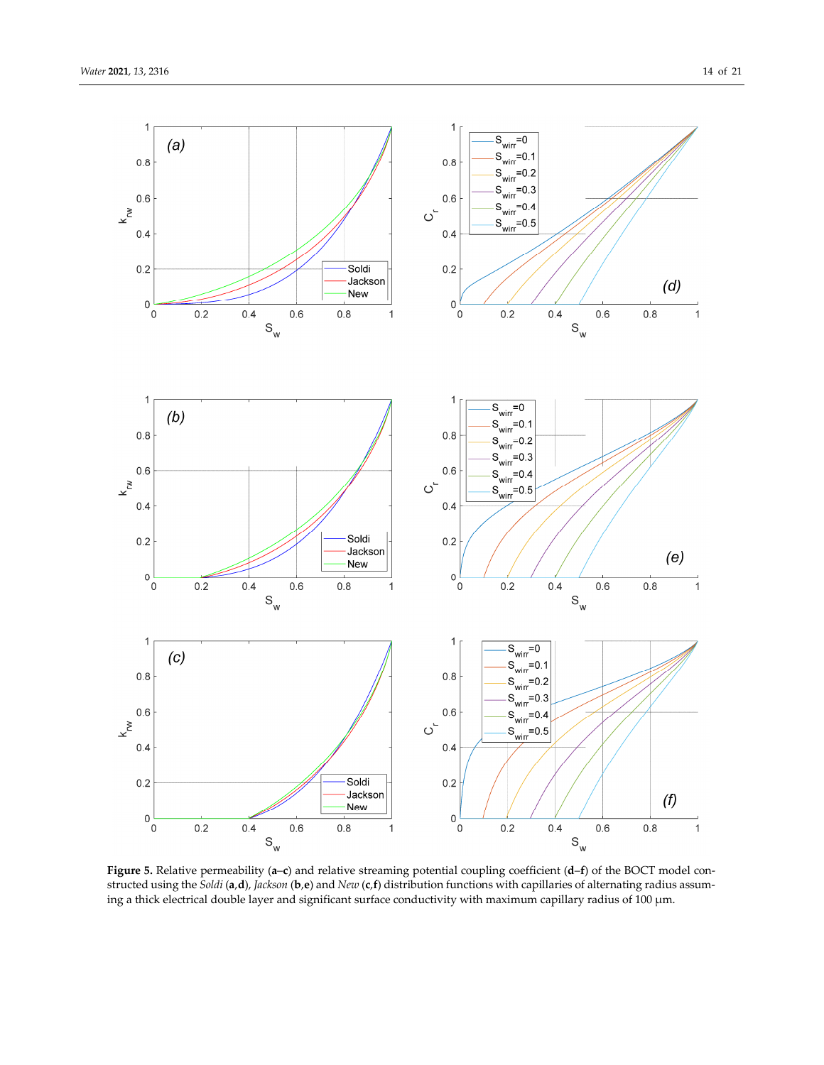![](_page_13_Figure_2.jpeg)

**Figure 5.** Relative permeability (**a**–**c**) and relative streaming potential coupling coefficient (**d**–**f**) of the BOCT model constructed using the *Soldi* (**a**,**d**), *Jackson* (**b**,**e**) and *New* (**c**,**f**) distribution functions with capillaries of alternating radius assuming a thick electrical double layer and significant surface conductivity with maximum capillary radius of 100 μm.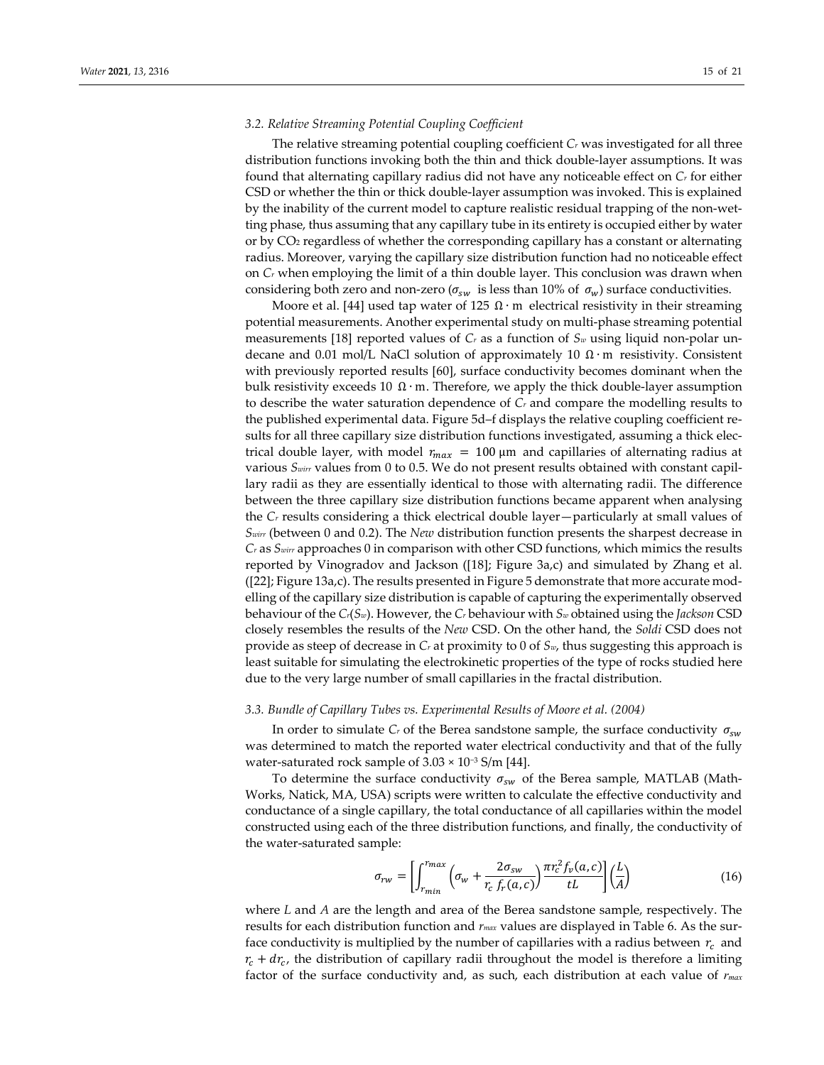## *3.2. Relative Streaming Potential Coupling Coefficient*

The relative streaming potential coupling coefficient *Cr* was investigated for all three distribution functions invoking both the thin and thick double-layer assumptions. It was found that alternating capillary radius did not have any noticeable effect on *Cr* for either CSD or whether the thin or thick double-layer assumption was invoked. This is explained by the inability of the current model to capture realistic residual trapping of the non-wetting phase, thus assuming that any capillary tube in its entirety is occupied either by water or by CO2 regardless of whether the corresponding capillary has a constant or alternating radius. Moreover, varying the capillary size distribution function had no noticeable effect on *Cr* when employing the limit of a thin double layer. This conclusion was drawn when considering both zero and non-zero ( $\sigma_{sw}$  is less than 10% of  $\sigma_w$ ) surface conductivities.

Moore et al. [44] used tap water of 125  $\Omega \cdot m$  electrical resistivity in their streaming potential measurements. Another experimental study on multi-phase streaming potential measurements [18] reported values of *Cr* as a function of *Sw* using liquid non-polar undecane and 0.01 mol/L NaCl solution of approximately 10  $\Omega \cdot m$  resistivity. Consistent with previously reported results [60], surface conductivity becomes dominant when the bulk resistivity exceeds 10  $\Omega \cdot$ m. Therefore, we apply the thick double-layer assumption to describe the water saturation dependence of *Cr* and compare the modelling results to the published experimental data. Figure 5d–f displays the relative coupling coefficient results for all three capillary size distribution functions investigated, assuming a thick electrical double layer, with model  $r_{max} = 100 \,\text{\mu m}$  and capillaries of alternating radius at various *Swirr* values from 0 to 0.5. We do not present results obtained with constant capillary radii as they are essentially identical to those with alternating radii. The difference between the three capillary size distribution functions became apparent when analysing the *Cr* results considering a thick electrical double layer—particularly at small values of *Swirr* (between 0 and 0.2). The *New* distribution function presents the sharpest decrease in *Cr* as *Swirr* approaches 0 in comparison with other CSD functions, which mimics the results reported by Vinogradov and Jackson ([18]; Figure 3a,c) and simulated by Zhang et al. ([22]; Figure 13a,c). The results presented in Figure 5 demonstrate that more accurate modelling of the capillary size distribution is capable of capturing the experimentally observed behaviour of the *Cr*(*Sw*). However, the *Cr* behaviour with *Sw* obtained using the *Jackson* CSD closely resembles the results of the *New* CSD. On the other hand, the *Soldi* CSD does not provide as steep of decrease in *Cr* at proximity to 0 of *Sw*, thus suggesting this approach is least suitable for simulating the electrokinetic properties of the type of rocks studied here due to the very large number of small capillaries in the fractal distribution.

## *3.3. Bundle of Capillary Tubes vs. Experimental Results of Moore et al. (2004)*

In order to simulate  $C_r$  of the Berea sandstone sample, the surface conductivity  $\sigma_{sw}$ was determined to match the reported water electrical conductivity and that of the fully water-saturated rock sample of  $3.03 \times 10^{-3}$  S/m [44].

To determine the surface conductivity  $\sigma_{sw}$  of the Berea sample, MATLAB (Math-Works, Natick, MA, USA) scripts were written to calculate the effective conductivity and conductance of a single capillary, the total conductance of all capillaries within the model constructed using each of the three distribution functions, and finally, the conductivity of the water-saturated sample:

$$
\sigma_{rw} = \left[ \int_{r_{min}}^{r_{max}} \left( \sigma_w + \frac{2\sigma_{sw}}{r_c \ f_r(a,c)} \right) \frac{\pi r_c^2 f_v(a,c)}{tL} \right] \left( \frac{L}{A} \right) \tag{16}
$$

where *L* and *A* are the length and area of the Berea sandstone sample, respectively. The results for each distribution function and *rmax* values are displayed in Table 6. As the surface conductivity is multiplied by the number of capillaries with a radius between  $r_c$  and  $r_c + dr_c$ , the distribution of capillary radii throughout the model is therefore a limiting factor of the surface conductivity and, as such, each distribution at each value of *rmax*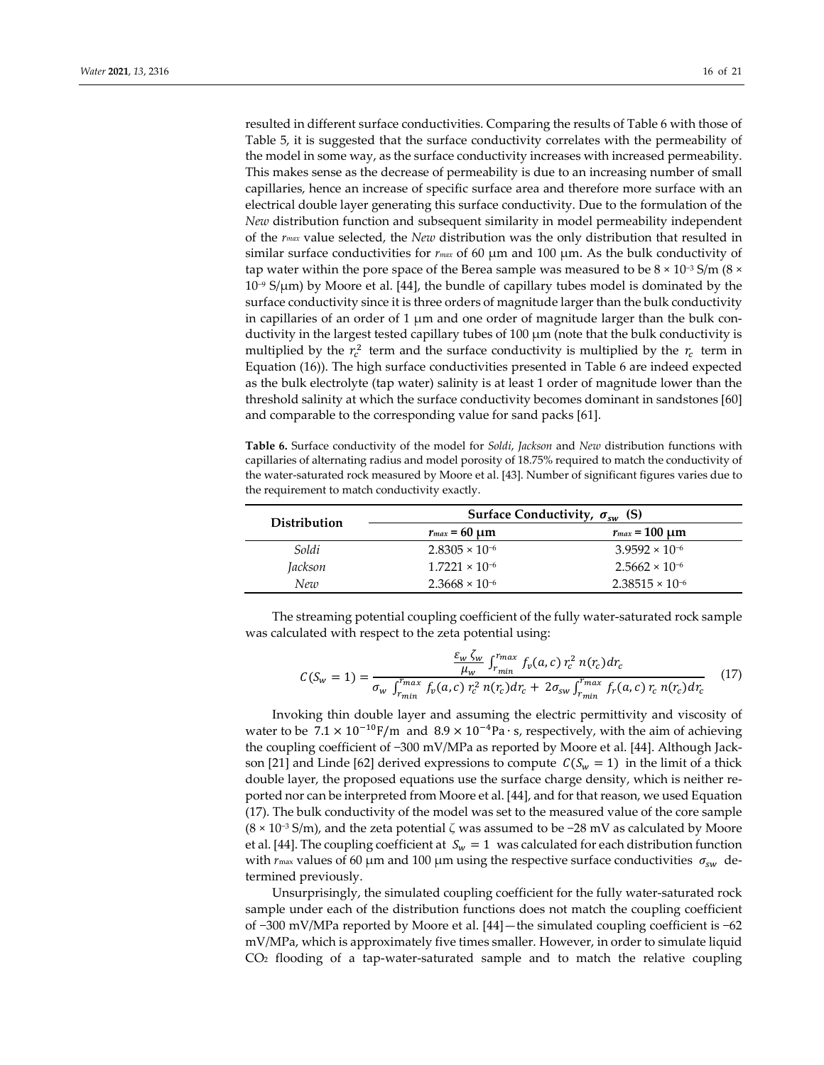resulted in different surface conductivities. Comparing the results of Table 6 with those of Table 5, it is suggested that the surface conductivity correlates with the permeability of the model in some way, as the surface conductivity increases with increased permeability. This makes sense as the decrease of permeability is due to an increasing number of small capillaries, hence an increase of specific surface area and therefore more surface with an electrical double layer generating this surface conductivity. Due to the formulation of the *New* distribution function and subsequent similarity in model permeability independent of the *rmax* value selected, the *New* distribution was the only distribution that resulted in similar surface conductivities for *rmax* of 60 μm and 100 μm. As the bulk conductivity of tap water within the pore space of the Berea sample was measured to be  $8 \times 10^{-3}$  S/m ( $8 \times$  $10<sup>−9</sup>$  S/μm) by Moore et al. [44], the bundle of capillary tubes model is dominated by the surface conductivity since it is three orders of magnitude larger than the bulk conductivity in capillaries of an order of 1  $\mu$ m and one order of magnitude larger than the bulk conductivity in the largest tested capillary tubes of 100 μm (note that the bulk conductivity is multiplied by the  $r_c^2$  term and the surface conductivity is multiplied by the  $r_c$  term in Equation (16)). The high surface conductivities presented in Table 6 are indeed expected as the bulk electrolyte (tap water) salinity is at least 1 order of magnitude lower than the threshold salinity at which the surface conductivity becomes dominant in sandstones [60] and comparable to the corresponding value for sand packs [61].

**Table 6.** Surface conductivity of the model for *Soldi*, *Jackson* and *New* distribution functions with capillaries of alternating radius and model porosity of 18.75% required to match the conductivity of the water-saturated rock measured by Moore et al. [43]. Number of significant figures varies due to the requirement to match conductivity exactly.

| Distribution |                         | Surface Conductivity, $\sigma_{sw}$ (S) |
|--------------|-------------------------|-----------------------------------------|
|              | $r_{max} = 60 \mu m$    | $r_{max}$ = 100 $\mu$ m                 |
| Soldi        | $2.8305 \times 10^{-6}$ | $3.9592 \times 10^{-6}$                 |
| Jackson      | $1.7221 \times 10^{-6}$ | $2.5662 \times 10^{-6}$                 |
| New          | $2.3668 \times 10^{-6}$ | $2.38515 \times 10^{-6}$                |

The streaming potential coupling coefficient of the fully water-saturated rock sample was calculated with respect to the zeta potential using:

$$
C(S_w = 1) = \frac{\frac{\varepsilon_w \zeta_w}{\mu_w} \int_{r_{min}}^{r_{max}} f_v(a, c) r_c^2 n(r_c) dr_c}{\sigma_w \int_{r_{min}}^{r_{max}} f_v(a, c) r_c^2 n(r_c) dr_c + 2\sigma_{sw} \int_{r_{min}}^{r_{max}} f_r(a, c) r_c n(r_c) dr_c}
$$
(17)

Invoking thin double layer and assuming the electric permittivity and viscosity of water to be  $7.1 \times 10^{-10}$ F/m and  $8.9 \times 10^{-4}$ Pa ⋅ s, respectively, with the aim of achieving the coupling coefficient of −300 mV/MPa as reported by Moore et al. [44]. Although Jackson [21] and Linde [62] derived expressions to compute  $C(S_w = 1)$  in the limit of a thick double layer, the proposed equations use the surface charge density, which is neither reported nor can be interpreted from Moore et al. [44], and for that reason, we used Equation (17). The bulk conductivity of the model was set to the measured value of the core sample (8 × 10−3 S/m), and the zeta potential *ζ* was assumed to be −28 mV as calculated by Moore et al. [44]. The coupling coefficient at  $S_w = 1$  was calculated for each distribution function with  $r_{\text{max}}$  values of 60 µm and 100 µm using the respective surface conductivities  $\sigma_{sw}$  determined previously.

Unsurprisingly, the simulated coupling coefficient for the fully water-saturated rock sample under each of the distribution functions does not match the coupling coefficient of −300 mV/MPa reported by Moore et al. [44]—the simulated coupling coefficient is −62 mV/MPa, which is approximately five times smaller. However, in order to simulate liquid CO2 flooding of a tap-water-saturated sample and to match the relative coupling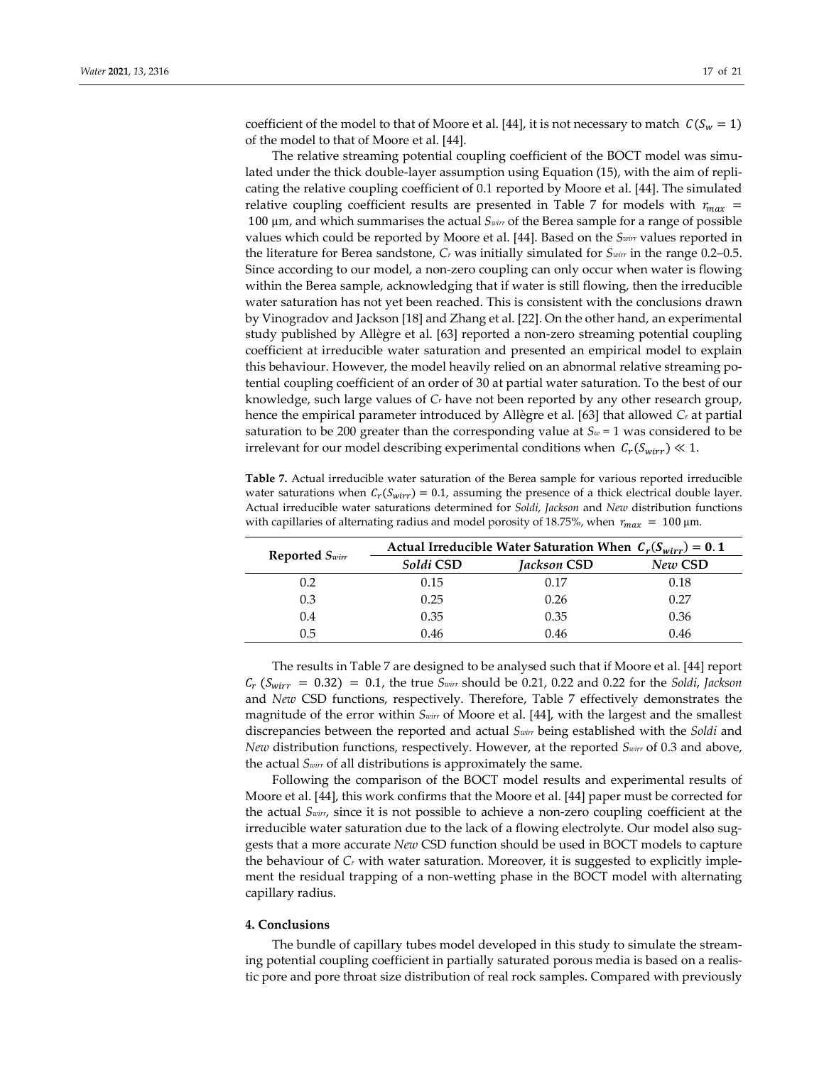coefficient of the model to that of Moore et al. [44], it is not necessary to match  $C(S_w = 1)$ of the model to that of Moore et al. [44].

The relative streaming potential coupling coefficient of the BOCT model was simulated under the thick double-layer assumption using Equation (15), with the aim of replicating the relative coupling coefficient of 0.1 reported by Moore et al. [44]. The simulated relative coupling coefficient results are presented in Table 7 for models with  $r_{max}$  = 100 μm, and which summarises the actual *Swirr* of the Berea sample for a range of possible values which could be reported by Moore et al. [44]. Based on the *Swirr* values reported in the literature for Berea sandstone, *Cr* was initially simulated for *Swirr* in the range 0.2–0.5. Since according to our model, a non-zero coupling can only occur when water is flowing within the Berea sample, acknowledging that if water is still flowing, then the irreducible water saturation has not yet been reached. This is consistent with the conclusions drawn by Vinogradov and Jackson [18] and Zhang et al. [22]. On the other hand, an experimental study published by Allègre et al. [63] reported a non-zero streaming potential coupling coefficient at irreducible water saturation and presented an empirical model to explain this behaviour. However, the model heavily relied on an abnormal relative streaming potential coupling coefficient of an order of 30 at partial water saturation. To the best of our knowledge, such large values of *Cr* have not been reported by any other research group, hence the empirical parameter introduced by Allègre et al. [63] that allowed *Cr* at partial saturation to be 200 greater than the corresponding value at  $S_w = 1$  was considered to be irrelevant for our model describing experimental conditions when  $C_r(S_{wirr}) \ll 1$ .

**Table 7.** Actual irreducible water saturation of the Berea sample for various reported irreducible water saturations when  $C_r(S_{wirr}) = 0.1$ , assuming the presence of a thick electrical double layer. Actual irreducible water saturations determined for *Soldi*, *Jackson* and *New* distribution functions with capillaries of alternating radius and model porosity of 18.75%, when  $r_{max} = 100 \mu m$ .

| Reported $S_{wirr}$ | Actual Irreducible Water Saturation When $C_r(S_{wirr}) = 0.1$ |             |         |  |
|---------------------|----------------------------------------------------------------|-------------|---------|--|
|                     | Soldi CSD                                                      | Jackson CSD | New CSD |  |
| 0.2                 | 0.15                                                           | 0.17        | 0.18    |  |
| 0.3                 | 0.25                                                           | 0.26        | 0.27    |  |
| 0.4                 | 0.35                                                           | 0.35        | 0.36    |  |
| 0.5                 | 0.46                                                           | 0.46        | 0.46    |  |

The results in Table 7 are designed to be analysed such that if Moore et al. [44] report  $C_r$  ( $S_{wirr}$  = 0.32) = 0.1, the true  $S_{wirr}$  should be 0.21, 0.22 and 0.22 for the *Soldi*, *Jackson* and *New* CSD functions, respectively. Therefore, Table 7 effectively demonstrates the magnitude of the error within *Swirr* of Moore et al. [44], with the largest and the smallest discrepancies between the reported and actual *Swirr* being established with the *Soldi* and *New* distribution functions, respectively. However, at the reported *Swirr* of 0.3 and above, the actual *Swirr* of all distributions is approximately the same.

Following the comparison of the BOCT model results and experimental results of Moore et al. [44], this work confirms that the Moore et al. [44] paper must be corrected for the actual *Swirr*, since it is not possible to achieve a non-zero coupling coefficient at the irreducible water saturation due to the lack of a flowing electrolyte. Our model also suggests that a more accurate *New* CSD function should be used in BOCT models to capture the behaviour of *Cr* with water saturation. Moreover, it is suggested to explicitly implement the residual trapping of a non-wetting phase in the BOCT model with alternating capillary radius.

#### **4. Conclusions**

The bundle of capillary tubes model developed in this study to simulate the streaming potential coupling coefficient in partially saturated porous media is based on a realistic pore and pore throat size distribution of real rock samples. Compared with previously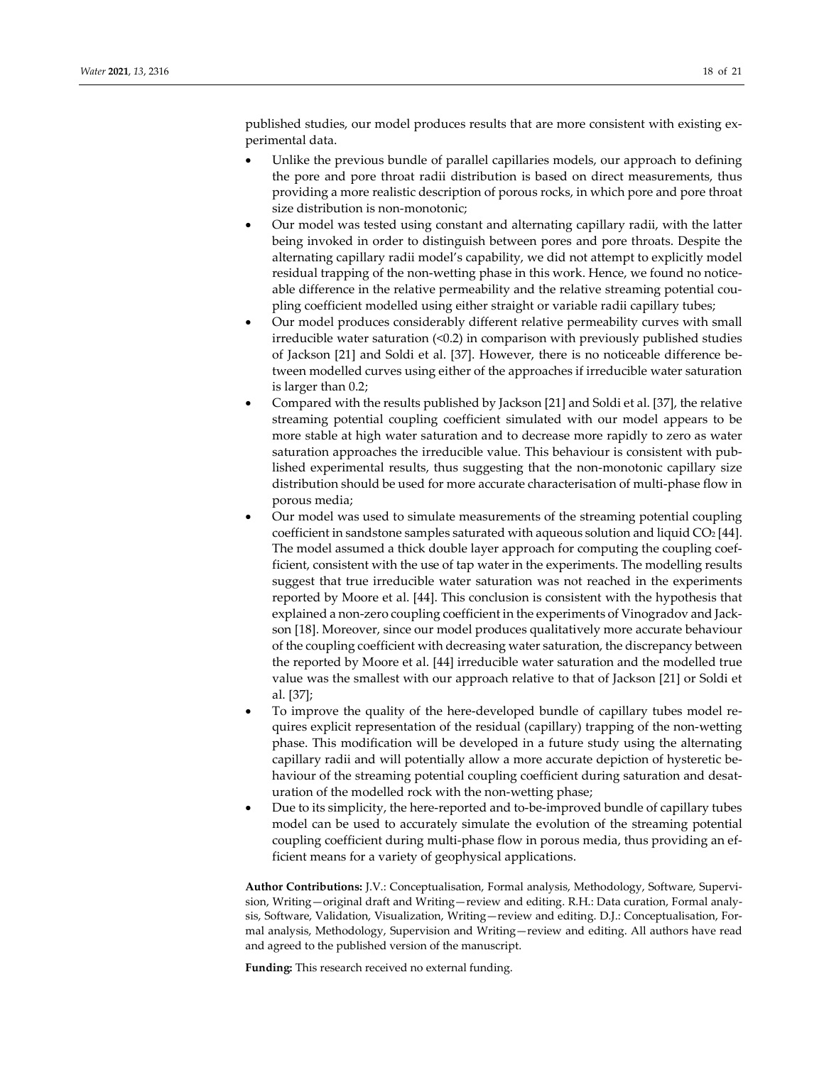published studies, our model produces results that are more consistent with existing experimental data.

- Unlike the previous bundle of parallel capillaries models, our approach to defining the pore and pore throat radii distribution is based on direct measurements, thus providing a more realistic description of porous rocks, in which pore and pore throat size distribution is non-monotonic;
- Our model was tested using constant and alternating capillary radii, with the latter being invoked in order to distinguish between pores and pore throats. Despite the alternating capillary radii model's capability, we did not attempt to explicitly model residual trapping of the non-wetting phase in this work. Hence, we found no noticeable difference in the relative permeability and the relative streaming potential coupling coefficient modelled using either straight or variable radii capillary tubes;
- Our model produces considerably different relative permeability curves with small irreducible water saturation (<0.2) in comparison with previously published studies of Jackson [21] and Soldi et al. [37]. However, there is no noticeable difference between modelled curves using either of the approaches if irreducible water saturation is larger than 0.2;
- Compared with the results published by Jackson [21] and Soldi et al. [37], the relative streaming potential coupling coefficient simulated with our model appears to be more stable at high water saturation and to decrease more rapidly to zero as water saturation approaches the irreducible value. This behaviour is consistent with published experimental results, thus suggesting that the non-monotonic capillary size distribution should be used for more accurate characterisation of multi-phase flow in porous media;
- Our model was used to simulate measurements of the streaming potential coupling coefficient in sandstone samples saturated with aqueous solution and liquid CO2 [44]. The model assumed a thick double layer approach for computing the coupling coefficient, consistent with the use of tap water in the experiments. The modelling results suggest that true irreducible water saturation was not reached in the experiments reported by Moore et al. [44]. This conclusion is consistent with the hypothesis that explained a non-zero coupling coefficient in the experiments of Vinogradov and Jackson [18]. Moreover, since our model produces qualitatively more accurate behaviour of the coupling coefficient with decreasing water saturation, the discrepancy between the reported by Moore et al. [44] irreducible water saturation and the modelled true value was the smallest with our approach relative to that of Jackson [21] or Soldi et al. [37];
- To improve the quality of the here-developed bundle of capillary tubes model requires explicit representation of the residual (capillary) trapping of the non-wetting phase. This modification will be developed in a future study using the alternating capillary radii and will potentially allow a more accurate depiction of hysteretic behaviour of the streaming potential coupling coefficient during saturation and desaturation of the modelled rock with the non-wetting phase;
- Due to its simplicity, the here-reported and to-be-improved bundle of capillary tubes model can be used to accurately simulate the evolution of the streaming potential coupling coefficient during multi-phase flow in porous media, thus providing an efficient means for a variety of geophysical applications.

**Author Contributions:** J.V.: Conceptualisation, Formal analysis, Methodology, Software, Supervision, Writing—original draft and Writing—review and editing. R.H.: Data curation, Formal analysis, Software, Validation, Visualization, Writing—review and editing. D.J.: Conceptualisation, Formal analysis, Methodology, Supervision and Writing—review and editing. All authors have read and agreed to the published version of the manuscript.

**Funding:** This research received no external funding.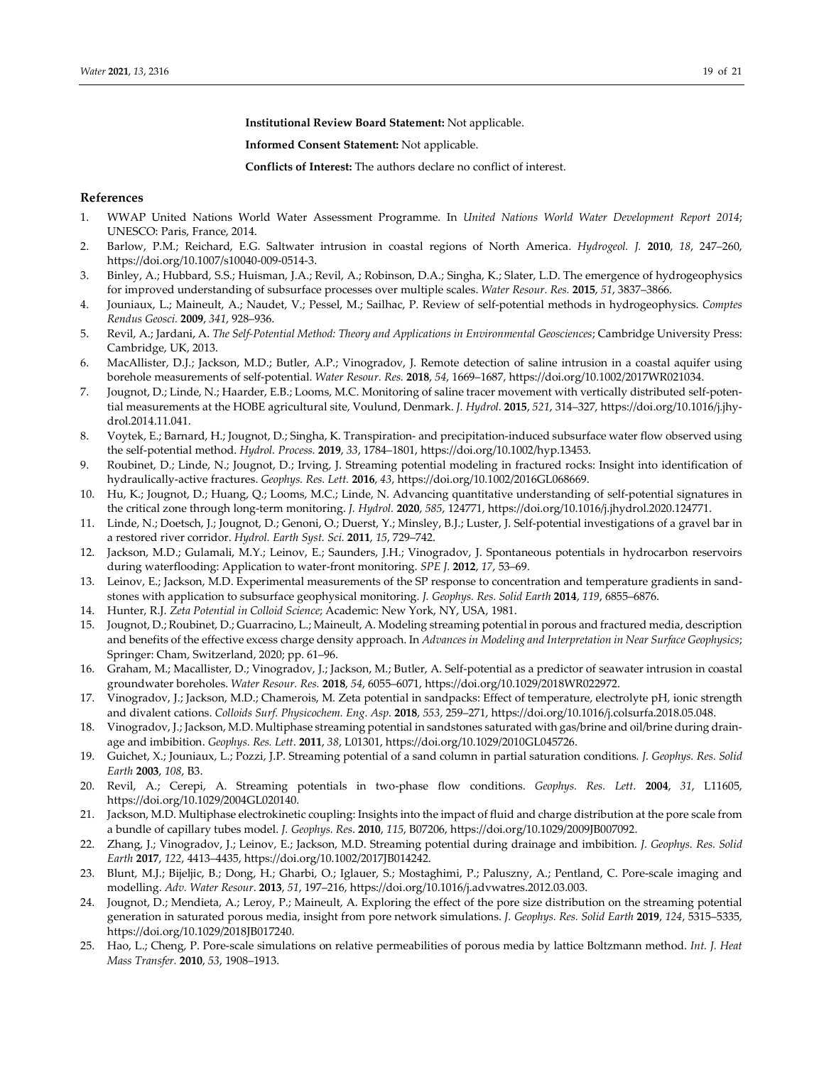**Institutional Review Board Statement:** Not applicable.

**Informed Consent Statement:** Not applicable.

**Conflicts of Interest:** The authors declare no conflict of interest.

# **References**

- 1. WWAP United Nations World Water Assessment Programme*.* In *United Nations World Water Development Report 2014*; UNESCO: Paris, France, 2014.
- 2. Barlow, P.M.; Reichard, E.G. Saltwater intrusion in coastal regions of North America. *Hydrogeol. J.* **2010**, *18*, 247–260, https://doi.org/10.1007/s10040-009-0514-3.
- 3. Binley, A.; Hubbard, S.S.; Huisman, J.A.; Revil, A.; Robinson, D.A.; Singha, K.; Slater, L.D. The emergence of hydrogeophysics for improved understanding of subsurface processes over multiple scales. *Water Resour. Res.* **2015**, *51*, 3837–3866.
- 4. Jouniaux, L.; Maineult, A.; Naudet, V.; Pessel, M.; Sailhac, P. Review of self-potential methods in hydrogeophysics. *Comptes Rendus Geosci.* **2009**, *341*, 928–936.
- 5. Revil, A.; Jardani, A. *The Self-Potential Method: Theory and Applications in Environmental Geosciences*; Cambridge University Press: Cambridge, UK, 2013.
- 6. MacAllister, D.J.; Jackson, M.D.; Butler, A.P.; Vinogradov, J. Remote detection of saline intrusion in a coastal aquifer using borehole measurements of self-potential. *Water Resour. Res.* **2018**, *54*, 1669–1687, https://doi.org/10.1002/2017WR021034.
- 7. Jougnot, D.; Linde, N.; Haarder, E.B.; Looms, M.C. Monitoring of saline tracer movement with vertically distributed self-potential measurements at the HOBE agricultural site, Voulund, Denmark. *J. Hydrol.* **2015**, *521*, 314–327, https://doi.org/10.1016/j.jhydrol.2014.11.041.
- 8. Voytek, E.; Barnard, H.; Jougnot, D.; Singha, K. Transpiration- and precipitation-induced subsurface water flow observed using the self-potential method. *Hydrol. Process.* **2019**, *33*, 1784–1801, https://doi.org/10.1002/hyp.13453.
- 9. Roubinet, D.; Linde, N.; Jougnot, D.; Irving, J. Streaming potential modeling in fractured rocks: Insight into identification of hydraulically-active fractures. *Geophys. Res. Lett.* **2016**, *43*, https://doi.org/10.1002/2016GL068669.
- 10. Hu, K.; Jougnot, D.; Huang, Q.; Looms, M.C.; Linde, N. Advancing quantitative understanding of self-potential signatures in the critical zone through long-term monitoring. *J. Hydrol.* **2020**, *585*, 124771, https://doi.org/10.1016/j.jhydrol.2020.124771.
- 11. Linde, N.; Doetsch, J.; Jougnot, D.; Genoni, O.; Duerst, Y.; Minsley, B.J.; Luster, J. Self-potential investigations of a gravel bar in a restored river corridor. *Hydrol. Earth Syst. Sci.* **2011**, *15*, 729–742.
- 12. Jackson, M.D.; Gulamali, M.Y.; Leinov, E.; Saunders, J.H.; Vinogradov, J. Spontaneous potentials in hydrocarbon reservoirs during waterflooding: Application to water-front monitoring. *SPE J.* **2012**, *17*, 53–69.
- 13. Leinov, E.; Jackson, M.D. Experimental measurements of the SP response to concentration and temperature gradients in sandstones with application to subsurface geophysical monitoring. *J. Geophys. Res. Solid Earth* **2014**, *119*, 6855–6876.
- 14. Hunter, R.J. *Zeta Potential in Colloid Science*; Academic: New York, NY, USA, 1981.
- 15. Jougnot, D.; Roubinet, D.; Guarracino, L.; Maineult, A. Modeling streaming potential in porous and fractured media, description and benefits of the effective excess charge density approach. In *Advances in Modeling and Interpretation in Near Surface Geophysics*; Springer: Cham, Switzerland, 2020; pp. 61–96.
- 16. Graham, M.; Macallister, D.; Vinogradov, J.; Jackson, M.; Butler, A. Self-potential as a predictor of seawater intrusion in coastal groundwater boreholes. *Water Resour. Res.* **2018**, *54*, 6055–6071, https://doi.org/10.1029/2018WR022972.
- 17. Vinogradov, J.; Jackson, M.D.; Chamerois, M. Zeta potential in sandpacks: Effect of temperature, electrolyte pH, ionic strength and divalent cations. *Colloids Surf. Physicochem. Eng. Asp.* **2018**, *553*, 259–271, https://doi.org/10.1016/j.colsurfa.2018.05.048.
- 18. Vinogradov, J.; Jackson, M.D. Multiphase streaming potential in sandstones saturated with gas/brine and oil/brine during drainage and imbibition. *Geophys. Res. Lett*. **2011**, *38*, L01301, https://doi.org/10.1029/2010GL045726.
- 19. Guichet, X.; Jouniaux, L.; Pozzi, J.P. Streaming potential of a sand column in partial saturation conditions*. J. Geophys. Res. Solid Earth* **2003**, *108*, B3.
- 20. Revil, A.; Cerepi, A. Streaming potentials in two-phase flow conditions. *Geophys. Res. Lett*. **2004**, *31*, L11605, https://doi.org/10.1029/2004GL020140.
- 21. Jackson, M.D. Multiphase electrokinetic coupling: Insights into the impact of fluid and charge distribution at the pore scale from a bundle of capillary tubes model. *J. Geophys. Res*. **2010**, *115*, B07206, https://doi.org/10.1029/2009JB007092.
- 22. Zhang, J.; Vinogradov, J.; Leinov, E.; Jackson, M.D. Streaming potential during drainage and imbibition. *J. Geophys. Res. Solid Earth* **2017**, *122*, 4413–4435, https://doi.org/10.1002/2017JB014242.
- 23. Blunt, M.J.; Bijeljic, B.; Dong, H.; Gharbi, O.; Iglauer, S.; Mostaghimi, P.; Paluszny, A.; Pentland, C. Pore-scale imaging and modelling. *Adv. Water Resour*. **2013**, *51*, 197–216, https://doi.org/10.1016/j.advwatres.2012.03.003.
- 24. Jougnot, D.; Mendieta, A.; Leroy, P.; Maineult, A. Exploring the effect of the pore size distribution on the streaming potential generation in saturated porous media, insight from pore network simulations. *J. Geophys. Res. Solid Earth* **2019**, *124*, 5315–5335, https://doi.org/10.1029/2018JB017240.
- 25. Hao, L.; Cheng, P. Pore-scale simulations on relative permeabilities of porous media by lattice Boltzmann method. *Int. J. Heat Mass Transfer.* **2010**, *53*, 1908–1913.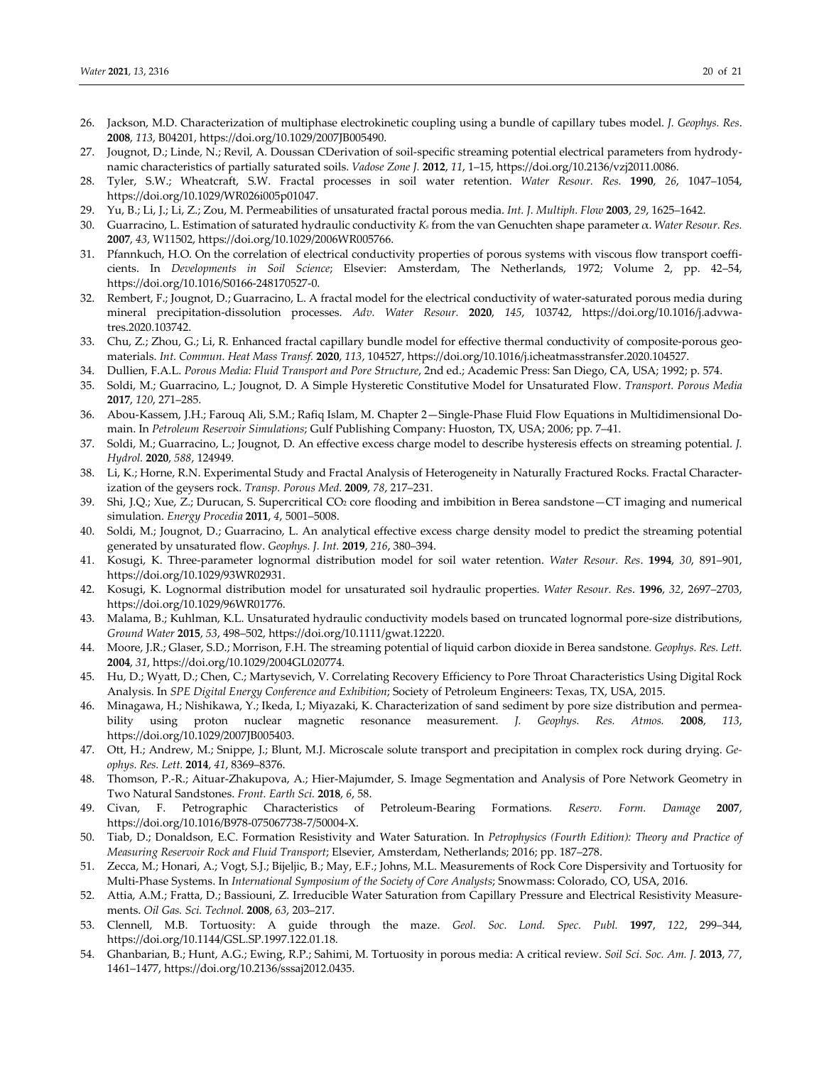- 26. Jackson, M.D. Characterization of multiphase electrokinetic coupling using a bundle of capillary tubes model. *J. Geophys. Res*. **2008**, *113*, B04201, https://doi.org/10.1029/2007JB005490.
- 27. Jougnot, D.; Linde, N.; Revil, A. Doussan CDerivation of soil-specific streaming potential electrical parameters from hydrodynamic characteristics of partially saturated soils. *Vadose Zone J.* **2012**, *11*, 1–15, https://doi.org/10.2136/vzj2011.0086.
- 28. Tyler, S.W.; Wheatcraft, S.W. Fractal processes in soil water retention. *Water Resour. Res.* **1990**, *26*, 1047–1054, https://doi.org/10.1029/WR026i005p01047.
- 29. Yu, B.; Li, J.; Li, Z.; Zou, M. Permeabilities of unsaturated fractal porous media. *Int. J. Multiph. Flow* **2003**, *29*, 1625–1642.
- 30. Guarracino, L. Estimation of saturated hydraulic conductivity *Ks* from the van Genuchten shape parameter α. *Water Resour. Res.*  **2007**, *43*, W11502, https://doi.org/10.1029/2006WR005766.
- 31. Pfannkuch, H.O. On the correlation of electrical conductivity properties of porous systems with viscous flow transport coefficients. In *Developments in Soil Science*; Elsevier: Amsterdam, The Netherlands, 1972; Volume 2, pp. 42–54, https://doi.org/10.1016/S0166-248170527-0.
- 32. Rembert, F.; Jougnot, D.; Guarracino, L. A fractal model for the electrical conductivity of water-saturated porous media during mineral precipitation-dissolution processes. *Adv. Water Resour.* **2020**, *145*, 103742, https://doi.org/10.1016/j.advwatres.2020.103742.
- 33. Chu, Z.; Zhou, G.; Li, R. Enhanced fractal capillary bundle model for effective thermal conductivity of composite-porous geomaterials. *Int. Commun. Heat Mass Transf.* **2020**, *113*, 104527, https://doi.org/10.1016/j.icheatmasstransfer.2020.104527.
- 34. Dullien, F.A.L. *Porous Media: Fluid Transport and Pore Structure*, 2nd ed.; Academic Press: San Diego, CA, USA; 1992; p. 574.
- 35. Soldi, M.; Guarracino, L.; Jougnot, D. A Simple Hysteretic Constitutive Model for Unsaturated Flow. *Transport. Porous Media* **2017**, *120*, 271–285.
- 36. Abou-Kassem, J.H.; Farouq Ali, S.M.; Rafiq Islam, M. Chapter 2—Single-Phase Fluid Flow Equations in Multidimensional Domain. In *Petroleum Reservoir Simulations*; Gulf Publishing Company: Huoston, TX, USA; 2006; pp. 7–41.
- 37. Soldi, M.; Guarracino, L.; Jougnot, D. An effective excess charge model to describe hysteresis effects on streaming potential. *J. Hydrol.* **2020**, *588*, 124949.
- 38. Li, K.; Horne, R.N. Experimental Study and Fractal Analysis of Heterogeneity in Naturally Fractured Rocks. Fractal Characterization of the geysers rock. *Transp. Porous Med*. **2009**, *78*, 217–231.
- 39. Shi, J.Q.; Xue, Z.; Durucan, S. Supercritical CO2 core flooding and imbibition in Berea sandstone—CT imaging and numerical simulation. *Energy Procedia* **2011**, *4*, 5001–5008.
- 40. Soldi, M.; Jougnot, D.; Guarracino, L. An analytical effective excess charge density model to predict the streaming potential generated by unsaturated flow. *Geophys. J. Int.* **2019**, *216*, 380–394.
- 41. Kosugi, K. Three-parameter lognormal distribution model for soil water retention. *Water Resour. Res*. **1994**, *30*, 891–901, https://doi.org/10.1029/93WR02931.
- 42. Kosugi, K. Lognormal distribution model for unsaturated soil hydraulic properties. *Water Resour. Res*. **1996**, *32*, 2697–2703, https://doi.org/10.1029/96WR01776.
- 43. Malama, B.; Kuhlman, K.L. Unsaturated hydraulic conductivity models based on truncated lognormal pore-size distributions, *Ground Water* **2015**, *53*, 498–502, https://doi.org/10.1111/gwat.12220.
- 44. Moore, J.R.; Glaser, S.D.; Morrison, F.H. The streaming potential of liquid carbon dioxide in Berea sandstone*. Geophys. Res. Lett.*  **2004**, *31*, https://doi.org/10.1029/2004GL020774.
- 45. Hu, D.; Wyatt, D.; Chen, C.; Martysevich, V. Correlating Recovery Efficiency to Pore Throat Characteristics Using Digital Rock Analysis. In *SPE Digital Energy Conference and Exhibition*; Society of Petroleum Engineers: Texas, TX, USA, 2015.
- 46. Minagawa, H.; Nishikawa, Y.; Ikeda, I.; Miyazaki, K. Characterization of sand sediment by pore size distribution and permeability using proton nuclear magnetic resonance measurement. *J. Geophys. Res. Atmos.* **2008**, *113*, https://doi.org/10.1029/2007JB005403.
- 47. Ott, H.; Andrew, M.; Snippe, J.; Blunt, M.J. Microscale solute transport and precipitation in complex rock during drying. *Geophys. Res. Lett.* **2014**, *41*, 8369–8376.
- 48. Thomson, P.-R.; Aituar-Zhakupova, A.; Hier-Majumder, S. Image Segmentation and Analysis of Pore Network Geometry in Two Natural Sandstones. *Front. Earth Sci.* **2018**, *6*, 58.
- 49. Civan, F. Petrographic Characteristics of Petroleum-Bearing Formations*. Reserv. Form. Damage* **2007**, https://doi.org/10.1016/B978-075067738-7/50004-X.
- 50. Tiab, D.; Donaldson, E.C. Formation Resistivity and Water Saturation. In *Petrophysics (Fourth Edition): Theory and Practice of Measuring Reservoir Rock and Fluid Transport*; Elsevier, Amsterdam, Netherlands; 2016; pp. 187–278.
- 51. Zecca, M.; Honari, A.; Vogt, S.J.; Bijeljic, B.; May, E.F.; Johns, M.L. Measurements of Rock Core Dispersivity and Tortuosity for Multi-Phase Systems. In *International Symposium of the Society of Core Analysts*; Snowmass: Colorado, CO, USA, 2016.
- 52. Attia, A.M.; Fratta, D.; Bassiouni, Z. Irreducible Water Saturation from Capillary Pressure and Electrical Resistivity Measurements. *Oil Gas. Sci. Technol.* **2008**, *63*, 203–217.
- 53. Clennell, M.B. Tortuosity: A guide through the maze. *Geol. Soc. Lond. Spec. Publ.* **1997**, *122*, 299–344, https://doi.org/10.1144/GSL.SP.1997.122.01.18.
- 54. Ghanbarian, B.; Hunt, A.G.; Ewing, R.P.; Sahimi, M. Tortuosity in porous media: A critical review. *Soil Sci. Soc. Am. J.* **2013**, *77*, 1461–1477, https://doi.org/10.2136/sssaj2012.0435.